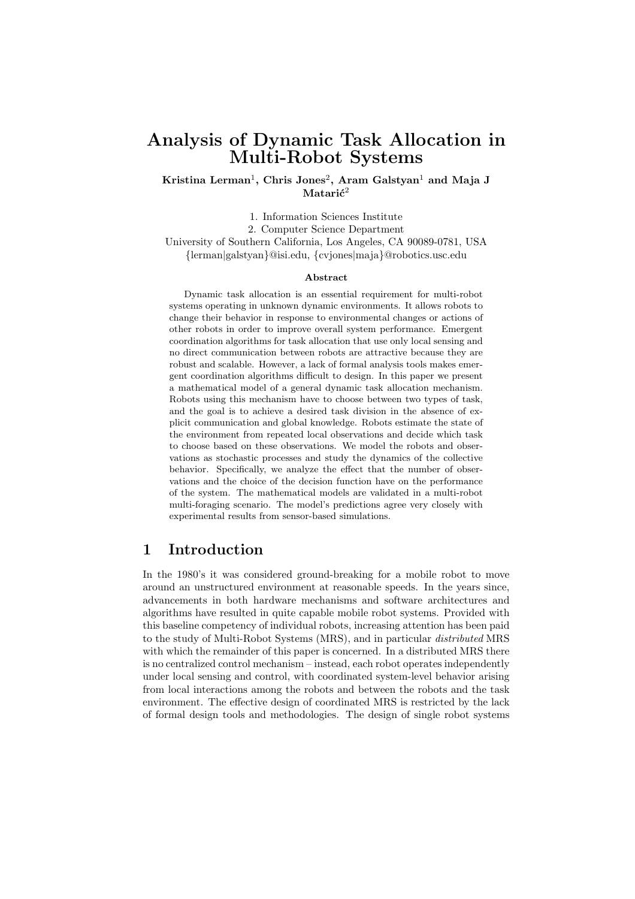# Analysis of Dynamic Task Allocation in Multi-Robot Systems

Kristina Lerman $^1,$  Chris Jones $^2,$  Aram Galstyan $^1$  and Maja J Matari $\acute{\mathrm{c}}^2$ 

1. Information Sciences Institute

2. Computer Science Department

University of Southern California, Los Angeles, CA 90089-0781, USA {lerman|galstyan}@isi.edu, {cvjones|maja}@robotics.usc.edu

#### Abstract

Dynamic task allocation is an essential requirement for multi-robot systems operating in unknown dynamic environments. It allows robots to change their behavior in response to environmental changes or actions of other robots in order to improve overall system performance. Emergent coordination algorithms for task allocation that use only local sensing and no direct communication between robots are attractive because they are robust and scalable. However, a lack of formal analysis tools makes emergent coordination algorithms difficult to design. In this paper we present a mathematical model of a general dynamic task allocation mechanism. Robots using this mechanism have to choose between two types of task, and the goal is to achieve a desired task division in the absence of explicit communication and global knowledge. Robots estimate the state of the environment from repeated local observations and decide which task to choose based on these observations. We model the robots and observations as stochastic processes and study the dynamics of the collective behavior. Specifically, we analyze the effect that the number of observations and the choice of the decision function have on the performance of the system. The mathematical models are validated in a multi-robot multi-foraging scenario. The model's predictions agree very closely with experimental results from sensor-based simulations.

## 1 Introduction

In the 1980's it was considered ground-breaking for a mobile robot to move around an unstructured environment at reasonable speeds. In the years since, advancements in both hardware mechanisms and software architectures and algorithms have resulted in quite capable mobile robot systems. Provided with this baseline competency of individual robots, increasing attention has been paid to the study of Multi-Robot Systems (MRS), and in particular distributed MRS with which the remainder of this paper is concerned. In a distributed MRS there is no centralized control mechanism – instead, each robot operates independently under local sensing and control, with coordinated system-level behavior arising from local interactions among the robots and between the robots and the task environment. The effective design of coordinated MRS is restricted by the lack of formal design tools and methodologies. The design of single robot systems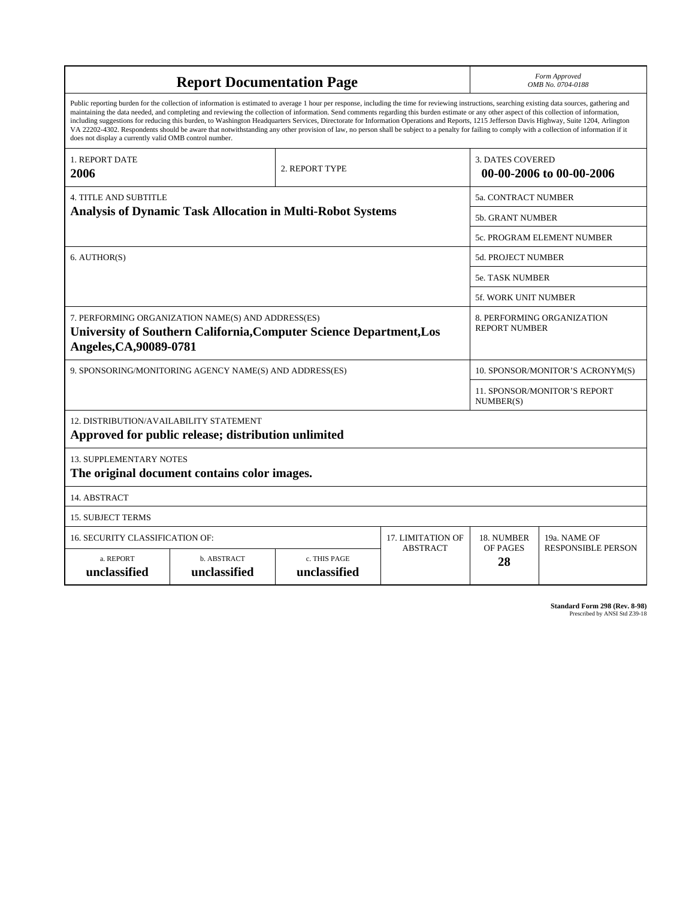| <b>Report Documentation Page</b>                                                                                                                                                                                                                                                                                                                                                                                                                                                                                                                                                                                                                                                                                                                                                                                                                                   |                             |                              |                 |                                                     | Form Approved<br>OMB No. 0704-0188                 |  |  |
|--------------------------------------------------------------------------------------------------------------------------------------------------------------------------------------------------------------------------------------------------------------------------------------------------------------------------------------------------------------------------------------------------------------------------------------------------------------------------------------------------------------------------------------------------------------------------------------------------------------------------------------------------------------------------------------------------------------------------------------------------------------------------------------------------------------------------------------------------------------------|-----------------------------|------------------------------|-----------------|-----------------------------------------------------|----------------------------------------------------|--|--|
| Public reporting burden for the collection of information is estimated to average 1 hour per response, including the time for reviewing instructions, searching existing data sources, gathering and<br>maintaining the data needed, and completing and reviewing the collection of information. Send comments regarding this burden estimate or any other aspect of this collection of information,<br>including suggestions for reducing this burden, to Washington Headquarters Services, Directorate for Information Operations and Reports, 1215 Jefferson Davis Highway, Suite 1204, Arlington<br>VA 22202-4302. Respondents should be aware that notwithstanding any other provision of law, no person shall be subject to a penalty for failing to comply with a collection of information if it<br>does not display a currently valid OMB control number. |                             |                              |                 |                                                     |                                                    |  |  |
| <b>1. REPORT DATE</b><br>2006                                                                                                                                                                                                                                                                                                                                                                                                                                                                                                                                                                                                                                                                                                                                                                                                                                      |                             | 2. REPORT TYPE               |                 | <b>3. DATES COVERED</b><br>00-00-2006 to 00-00-2006 |                                                    |  |  |
| <b>4. TITLE AND SUBTITLE</b>                                                                                                                                                                                                                                                                                                                                                                                                                                                                                                                                                                                                                                                                                                                                                                                                                                       |                             |                              |                 |                                                     | 5a. CONTRACT NUMBER                                |  |  |
| <b>Analysis of Dynamic Task Allocation in Multi-Robot Systems</b>                                                                                                                                                                                                                                                                                                                                                                                                                                                                                                                                                                                                                                                                                                                                                                                                  |                             |                              |                 |                                                     | <b>5b. GRANT NUMBER</b>                            |  |  |
|                                                                                                                                                                                                                                                                                                                                                                                                                                                                                                                                                                                                                                                                                                                                                                                                                                                                    |                             |                              |                 |                                                     | 5c. PROGRAM ELEMENT NUMBER                         |  |  |
| 6. AUTHOR(S)                                                                                                                                                                                                                                                                                                                                                                                                                                                                                                                                                                                                                                                                                                                                                                                                                                                       |                             |                              |                 |                                                     | 5d. PROJECT NUMBER                                 |  |  |
|                                                                                                                                                                                                                                                                                                                                                                                                                                                                                                                                                                                                                                                                                                                                                                                                                                                                    |                             |                              |                 |                                                     | <b>5e. TASK NUMBER</b>                             |  |  |
|                                                                                                                                                                                                                                                                                                                                                                                                                                                                                                                                                                                                                                                                                                                                                                                                                                                                    |                             |                              |                 |                                                     | 5f. WORK UNIT NUMBER                               |  |  |
| 7. PERFORMING ORGANIZATION NAME(S) AND ADDRESS(ES)<br>University of Southern California, Computer Science Department, Los<br>Angeles, CA, 90089-0781                                                                                                                                                                                                                                                                                                                                                                                                                                                                                                                                                                                                                                                                                                               |                             |                              |                 |                                                     | 8. PERFORMING ORGANIZATION<br><b>REPORT NUMBER</b> |  |  |
| 9. SPONSORING/MONITORING AGENCY NAME(S) AND ADDRESS(ES)                                                                                                                                                                                                                                                                                                                                                                                                                                                                                                                                                                                                                                                                                                                                                                                                            |                             |                              |                 |                                                     | 10. SPONSOR/MONITOR'S ACRONYM(S)                   |  |  |
|                                                                                                                                                                                                                                                                                                                                                                                                                                                                                                                                                                                                                                                                                                                                                                                                                                                                    |                             |                              |                 |                                                     | 11. SPONSOR/MONITOR'S REPORT<br>NUMBER(S)          |  |  |
| 12. DISTRIBUTION/AVAILABILITY STATEMENT<br>Approved for public release; distribution unlimited                                                                                                                                                                                                                                                                                                                                                                                                                                                                                                                                                                                                                                                                                                                                                                     |                             |                              |                 |                                                     |                                                    |  |  |
| <b>13. SUPPLEMENTARY NOTES</b><br>The original document contains color images.                                                                                                                                                                                                                                                                                                                                                                                                                                                                                                                                                                                                                                                                                                                                                                                     |                             |                              |                 |                                                     |                                                    |  |  |
| 14. ABSTRACT                                                                                                                                                                                                                                                                                                                                                                                                                                                                                                                                                                                                                                                                                                                                                                                                                                                       |                             |                              |                 |                                                     |                                                    |  |  |
| <b>15. SUBJECT TERMS</b>                                                                                                                                                                                                                                                                                                                                                                                                                                                                                                                                                                                                                                                                                                                                                                                                                                           |                             |                              |                 |                                                     |                                                    |  |  |
| 16. SECURITY CLASSIFICATION OF:                                                                                                                                                                                                                                                                                                                                                                                                                                                                                                                                                                                                                                                                                                                                                                                                                                    |                             | 17. LIMITATION OF            | 18. NUMBER      | 19a. NAME OF                                        |                                                    |  |  |
| a. REPORT<br>unclassified                                                                                                                                                                                                                                                                                                                                                                                                                                                                                                                                                                                                                                                                                                                                                                                                                                          | b. ABSTRACT<br>unclassified | c. THIS PAGE<br>unclassified | <b>ABSTRACT</b> | OF PAGES<br>28                                      | <b>RESPONSIBLE PERSON</b>                          |  |  |

**Standard Form 298 (Rev. 8-98)**<br>Prescribed by ANSI Std Z39-18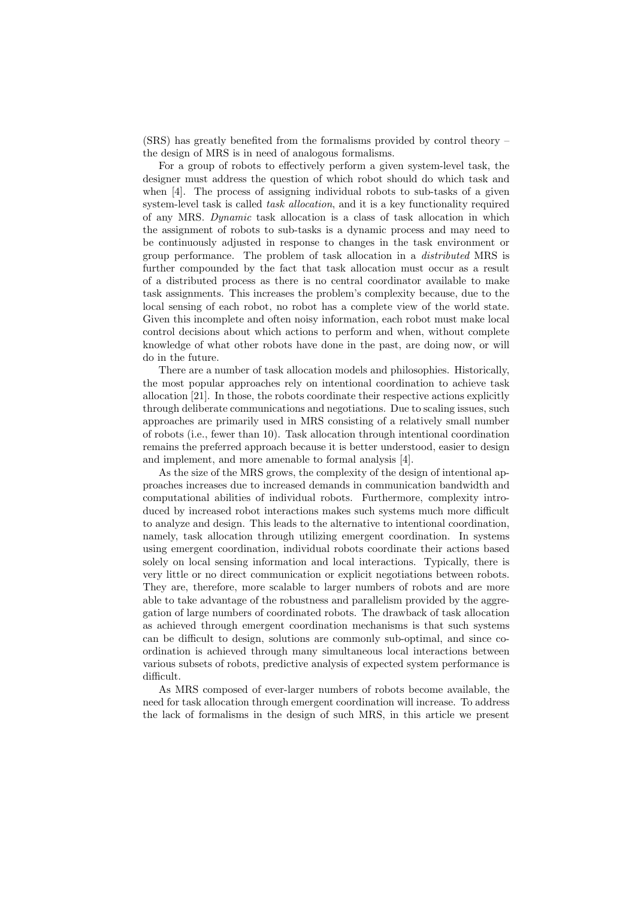(SRS) has greatly benefited from the formalisms provided by control theory – the design of MRS is in need of analogous formalisms.

For a group of robots to effectively perform a given system-level task, the designer must address the question of which robot should do which task and when [4]. The process of assigning individual robots to sub-tasks of a given system-level task is called task allocation, and it is a key functionality required of any MRS. Dynamic task allocation is a class of task allocation in which the assignment of robots to sub-tasks is a dynamic process and may need to be continuously adjusted in response to changes in the task environment or group performance. The problem of task allocation in a distributed MRS is further compounded by the fact that task allocation must occur as a result of a distributed process as there is no central coordinator available to make task assignments. This increases the problem's complexity because, due to the local sensing of each robot, no robot has a complete view of the world state. Given this incomplete and often noisy information, each robot must make local control decisions about which actions to perform and when, without complete knowledge of what other robots have done in the past, are doing now, or will do in the future.

There are a number of task allocation models and philosophies. Historically, the most popular approaches rely on intentional coordination to achieve task allocation [21]. In those, the robots coordinate their respective actions explicitly through deliberate communications and negotiations. Due to scaling issues, such approaches are primarily used in MRS consisting of a relatively small number of robots (i.e., fewer than 10). Task allocation through intentional coordination remains the preferred approach because it is better understood, easier to design and implement, and more amenable to formal analysis [4].

As the size of the MRS grows, the complexity of the design of intentional approaches increases due to increased demands in communication bandwidth and computational abilities of individual robots. Furthermore, complexity introduced by increased robot interactions makes such systems much more difficult to analyze and design. This leads to the alternative to intentional coordination, namely, task allocation through utilizing emergent coordination. In systems using emergent coordination, individual robots coordinate their actions based solely on local sensing information and local interactions. Typically, there is very little or no direct communication or explicit negotiations between robots. They are, therefore, more scalable to larger numbers of robots and are more able to take advantage of the robustness and parallelism provided by the aggregation of large numbers of coordinated robots. The drawback of task allocation as achieved through emergent coordination mechanisms is that such systems can be difficult to design, solutions are commonly sub-optimal, and since coordination is achieved through many simultaneous local interactions between various subsets of robots, predictive analysis of expected system performance is difficult.

As MRS composed of ever-larger numbers of robots become available, the need for task allocation through emergent coordination will increase. To address the lack of formalisms in the design of such MRS, in this article we present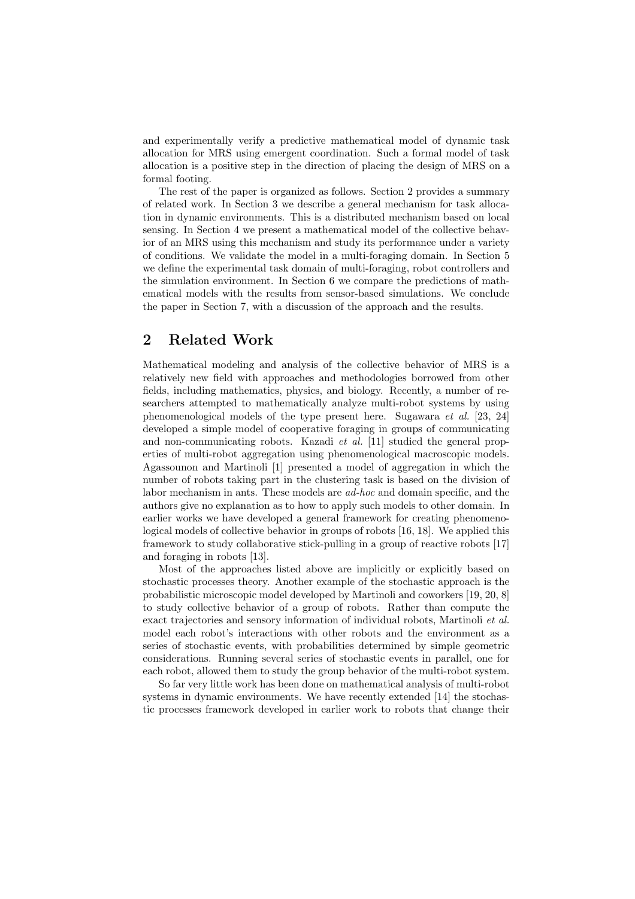and experimentally verify a predictive mathematical model of dynamic task allocation for MRS using emergent coordination. Such a formal model of task allocation is a positive step in the direction of placing the design of MRS on a formal footing.

The rest of the paper is organized as follows. Section 2 provides a summary of related work. In Section 3 we describe a general mechanism for task allocation in dynamic environments. This is a distributed mechanism based on local sensing. In Section 4 we present a mathematical model of the collective behavior of an MRS using this mechanism and study its performance under a variety of conditions. We validate the model in a multi-foraging domain. In Section 5 we define the experimental task domain of multi-foraging, robot controllers and the simulation environment. In Section 6 we compare the predictions of mathematical models with the results from sensor-based simulations. We conclude the paper in Section 7, with a discussion of the approach and the results.

### 2 Related Work

Mathematical modeling and analysis of the collective behavior of MRS is a relatively new field with approaches and methodologies borrowed from other fields, including mathematics, physics, and biology. Recently, a number of researchers attempted to mathematically analyze multi-robot systems by using phenomenological models of the type present here. Sugawara et al. [23, 24] developed a simple model of cooperative foraging in groups of communicating and non-communicating robots. Kazadi et al. [11] studied the general properties of multi-robot aggregation using phenomenological macroscopic models. Agassounon and Martinoli [1] presented a model of aggregation in which the number of robots taking part in the clustering task is based on the division of labor mechanism in ants. These models are ad-hoc and domain specific, and the authors give no explanation as to how to apply such models to other domain. In earlier works we have developed a general framework for creating phenomenological models of collective behavior in groups of robots [16, 18]. We applied this framework to study collaborative stick-pulling in a group of reactive robots [17] and foraging in robots [13].

Most of the approaches listed above are implicitly or explicitly based on stochastic processes theory. Another example of the stochastic approach is the probabilistic microscopic model developed by Martinoli and coworkers [19, 20, 8] to study collective behavior of a group of robots. Rather than compute the exact trajectories and sensory information of individual robots, Martinoli et al. model each robot's interactions with other robots and the environment as a series of stochastic events, with probabilities determined by simple geometric considerations. Running several series of stochastic events in parallel, one for each robot, allowed them to study the group behavior of the multi-robot system.

So far very little work has been done on mathematical analysis of multi-robot systems in dynamic environments. We have recently extended [14] the stochastic processes framework developed in earlier work to robots that change their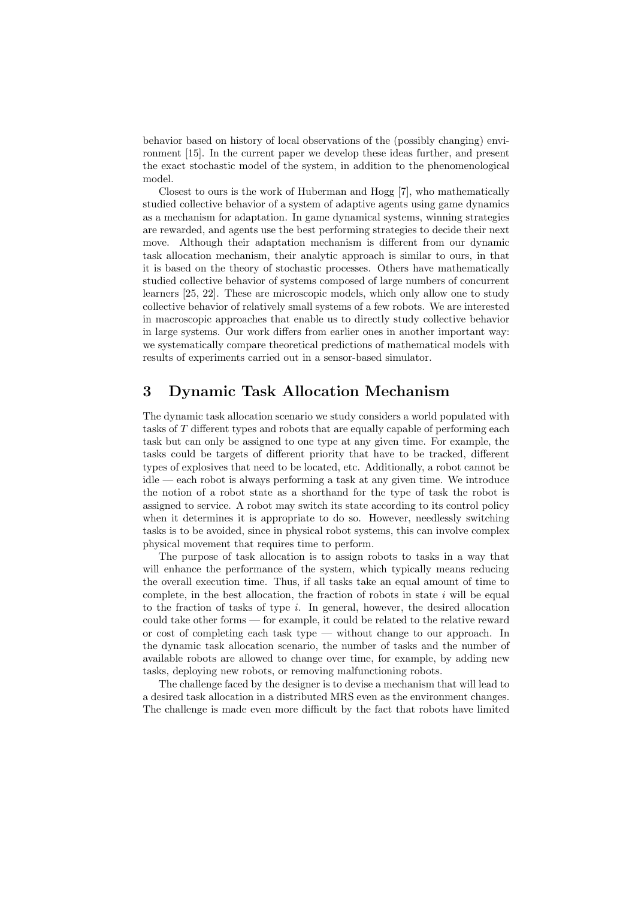behavior based on history of local observations of the (possibly changing) environment [15]. In the current paper we develop these ideas further, and present the exact stochastic model of the system, in addition to the phenomenological model.

Closest to ours is the work of Huberman and Hogg [7], who mathematically studied collective behavior of a system of adaptive agents using game dynamics as a mechanism for adaptation. In game dynamical systems, winning strategies are rewarded, and agents use the best performing strategies to decide their next move. Although their adaptation mechanism is different from our dynamic task allocation mechanism, their analytic approach is similar to ours, in that it is based on the theory of stochastic processes. Others have mathematically studied collective behavior of systems composed of large numbers of concurrent learners [25, 22]. These are microscopic models, which only allow one to study collective behavior of relatively small systems of a few robots. We are interested in macroscopic approaches that enable us to directly study collective behavior in large systems. Our work differs from earlier ones in another important way: we systematically compare theoretical predictions of mathematical models with results of experiments carried out in a sensor-based simulator.

## 3 Dynamic Task Allocation Mechanism

The dynamic task allocation scenario we study considers a world populated with tasks of T different types and robots that are equally capable of performing each task but can only be assigned to one type at any given time. For example, the tasks could be targets of different priority that have to be tracked, different types of explosives that need to be located, etc. Additionally, a robot cannot be idle — each robot is always performing a task at any given time. We introduce the notion of a robot state as a shorthand for the type of task the robot is assigned to service. A robot may switch its state according to its control policy when it determines it is appropriate to do so. However, needlessly switching tasks is to be avoided, since in physical robot systems, this can involve complex physical movement that requires time to perform.

The purpose of task allocation is to assign robots to tasks in a way that will enhance the performance of the system, which typically means reducing the overall execution time. Thus, if all tasks take an equal amount of time to complete, in the best allocation, the fraction of robots in state  $i$  will be equal to the fraction of tasks of type  $i$ . In general, however, the desired allocation could take other forms — for example, it could be related to the relative reward or cost of completing each task type — without change to our approach. In the dynamic task allocation scenario, the number of tasks and the number of available robots are allowed to change over time, for example, by adding new tasks, deploying new robots, or removing malfunctioning robots.

The challenge faced by the designer is to devise a mechanism that will lead to a desired task allocation in a distributed MRS even as the environment changes. The challenge is made even more difficult by the fact that robots have limited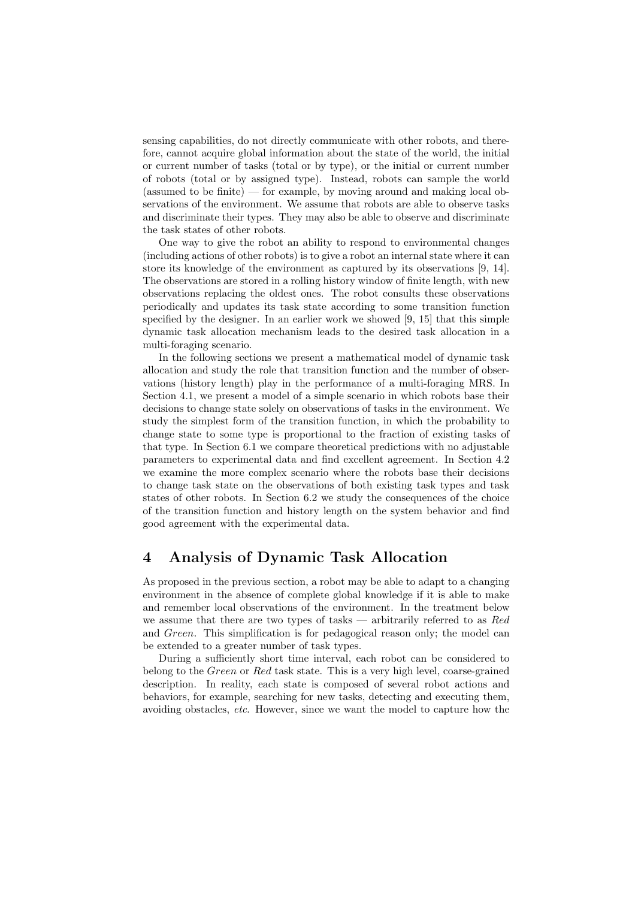sensing capabilities, do not directly communicate with other robots, and therefore, cannot acquire global information about the state of the world, the initial or current number of tasks (total or by type), or the initial or current number of robots (total or by assigned type). Instead, robots can sample the world  $(assumed to be finite)$  — for example, by moving around and making local observations of the environment. We assume that robots are able to observe tasks and discriminate their types. They may also be able to observe and discriminate the task states of other robots.

One way to give the robot an ability to respond to environmental changes (including actions of other robots) is to give a robot an internal state where it can store its knowledge of the environment as captured by its observations [9, 14]. The observations are stored in a rolling history window of finite length, with new observations replacing the oldest ones. The robot consults these observations periodically and updates its task state according to some transition function specified by the designer. In an earlier work we showed [9, 15] that this simple dynamic task allocation mechanism leads to the desired task allocation in a multi-foraging scenario.

In the following sections we present a mathematical model of dynamic task allocation and study the role that transition function and the number of observations (history length) play in the performance of a multi-foraging MRS. In Section 4.1, we present a model of a simple scenario in which robots base their decisions to change state solely on observations of tasks in the environment. We study the simplest form of the transition function, in which the probability to change state to some type is proportional to the fraction of existing tasks of that type. In Section 6.1 we compare theoretical predictions with no adjustable parameters to experimental data and find excellent agreement. In Section 4.2 we examine the more complex scenario where the robots base their decisions to change task state on the observations of both existing task types and task states of other robots. In Section 6.2 we study the consequences of the choice of the transition function and history length on the system behavior and find good agreement with the experimental data.

## 4 Analysis of Dynamic Task Allocation

As proposed in the previous section, a robot may be able to adapt to a changing environment in the absence of complete global knowledge if it is able to make and remember local observations of the environment. In the treatment below we assume that there are two types of tasks — arbitrarily referred to as Red and Green. This simplification is for pedagogical reason only; the model can be extended to a greater number of task types.

During a sufficiently short time interval, each robot can be considered to belong to the Green or Red task state. This is a very high level, coarse-grained description. In reality, each state is composed of several robot actions and behaviors, for example, searching for new tasks, detecting and executing them, avoiding obstacles, etc. However, since we want the model to capture how the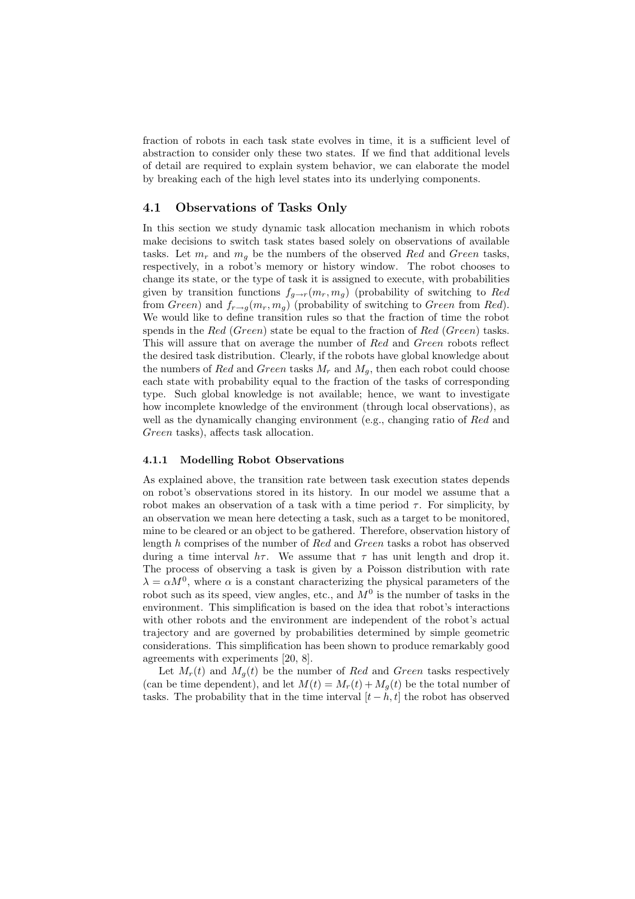fraction of robots in each task state evolves in time, it is a sufficient level of abstraction to consider only these two states. If we find that additional levels of detail are required to explain system behavior, we can elaborate the model by breaking each of the high level states into its underlying components.

### 4.1 Observations of Tasks Only

In this section we study dynamic task allocation mechanism in which robots make decisions to switch task states based solely on observations of available tasks. Let  $m_r$  and  $m_q$  be the numbers of the observed Red and Green tasks, respectively, in a robot's memory or history window. The robot chooses to change its state, or the type of task it is assigned to execute, with probabilities given by transition functions  $f_{g\to r}(m_r, m_g)$  (probability of switching to Red from Green) and  $f_{r\rightarrow q}(m_r, m_q)$  (probability of switching to Green from Red). We would like to define transition rules so that the fraction of time the robot spends in the Red (Green) state be equal to the fraction of Red (Green) tasks. This will assure that on average the number of Red and Green robots reflect the desired task distribution. Clearly, if the robots have global knowledge about the numbers of Red and Green tasks  $M_r$  and  $M_q$ , then each robot could choose each state with probability equal to the fraction of the tasks of corresponding type. Such global knowledge is not available; hence, we want to investigate how incomplete knowledge of the environment (through local observations), as well as the dynamically changing environment (e.g., changing ratio of Red and Green tasks), affects task allocation.

### 4.1.1 Modelling Robot Observations

As explained above, the transition rate between task execution states depends on robot's observations stored in its history. In our model we assume that a robot makes an observation of a task with a time period  $\tau$ . For simplicity, by an observation we mean here detecting a task, such as a target to be monitored, mine to be cleared or an object to be gathered. Therefore, observation history of length h comprises of the number of Red and Green tasks a robot has observed during a time interval  $h\tau$ . We assume that  $\tau$  has unit length and drop it. The process of observing a task is given by a Poisson distribution with rate  $\lambda = \alpha M^{0}$ , where  $\alpha$  is a constant characterizing the physical parameters of the robot such as its speed, view angles, etc., and  $M<sup>0</sup>$  is the number of tasks in the environment. This simplification is based on the idea that robot's interactions with other robots and the environment are independent of the robot's actual trajectory and are governed by probabilities determined by simple geometric considerations. This simplification has been shown to produce remarkably good agreements with experiments [20, 8].

Let  $M_r(t)$  and  $M_q(t)$  be the number of Red and Green tasks respectively (can be time dependent), and let  $M(t) = M_r(t) + M_q(t)$  be the total number of tasks. The probability that in the time interval  $[t-h, t]$  the robot has observed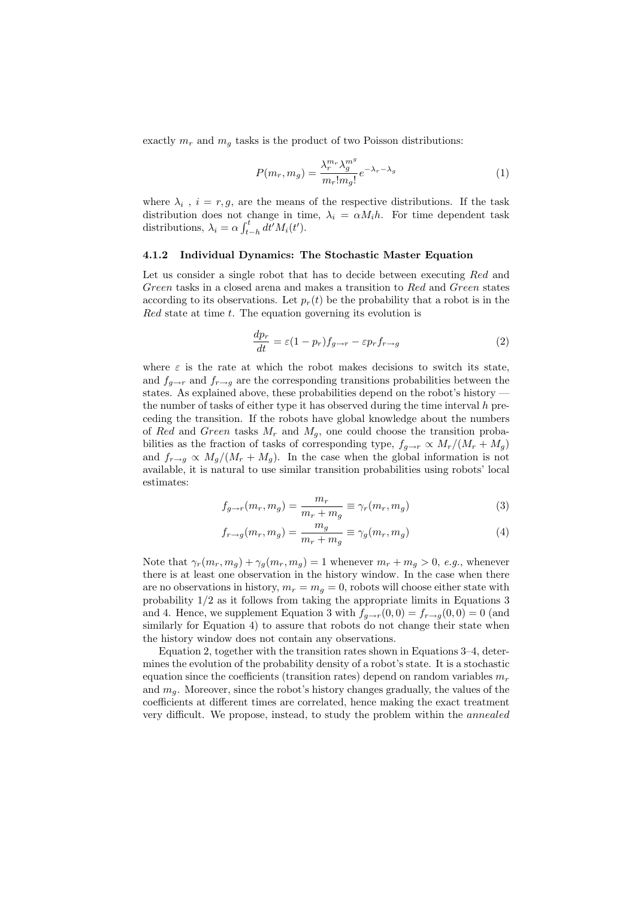exactly  $m_r$  and  $m_q$  tasks is the product of two Poisson distributions:

$$
P(m_r, m_g) = \frac{\lambda_r^{m_r} \lambda_g^{m^g}}{m_r! m_g!} e^{-\lambda_r - \lambda_g}
$$
\n(1)

where  $\lambda_i$ ,  $i = r, g$ , are the means of the respective distributions. If the task distribution does not change in time,  $\lambda_i = \alpha M_i h$ . For time dependent task distributions,  $\lambda_i = \alpha \int_{t_i}^{t_i}$  $t_{t-h}$  dt' $M_i(t')$ .

### 4.1.2 Individual Dynamics: The Stochastic Master Equation

Let us consider a single robot that has to decide between executing Red and Green tasks in a closed arena and makes a transition to Red and Green states according to its observations. Let  $p_r(t)$  be the probability that a robot is in the Red state at time t. The equation governing its evolution is

$$
\frac{dp_r}{dt} = \varepsilon (1 - p_r) f_{g \to r} - \varepsilon p_r f_{r \to g} \tag{2}
$$

where  $\varepsilon$  is the rate at which the robot makes decisions to switch its state, and  $f_{q\rightarrow r}$  and  $f_{r\rightarrow q}$  are the corresponding transitions probabilities between the states. As explained above, these probabilities depend on the robot's history the number of tasks of either type it has observed during the time interval  $h$  preceding the transition. If the robots have global knowledge about the numbers of Red and Green tasks  $M_r$  and  $M_g$ , one could choose the transition probabilities as the fraction of tasks of corresponding type,  $f_{g\to r} \propto M_r/(M_r + M_g)$ and  $f_{r\to q} \propto M_q/(M_r + M_q)$ . In the case when the global information is not available, it is natural to use similar transition probabilities using robots' local estimates:

$$
f_{g \to r}(m_r, m_g) = \frac{m_r}{m_r + m_g} \equiv \gamma_r(m_r, m_g)
$$
\n(3)

$$
f_{r \to g}(m_r, m_g) = \frac{m_g}{m_r + m_g} \equiv \gamma_g(m_r, m_g)
$$
\n(4)

Note that  $\gamma_r(m_r, m_q) + \gamma_q(m_r, m_q) = 1$  whenever  $m_r + m_q > 0$ , e.g., whenever there is at least one observation in the history window. In the case when there are no observations in history,  $m_r = m_g = 0$ , robots will choose either state with probability 1/2 as it follows from taking the appropriate limits in Equations 3 and 4. Hence, we supplement Equation 3 with  $f_{q\to r}(0,0) = f_{r\to q}(0,0) = 0$  (and similarly for Equation 4) to assure that robots do not change their state when the history window does not contain any observations.

Equation 2, together with the transition rates shown in Equations 3–4, determines the evolution of the probability density of a robot's state. It is a stochastic equation since the coefficients (transition rates) depend on random variables  $m_r$ and  $m_q$ . Moreover, since the robot's history changes gradually, the values of the coefficients at different times are correlated, hence making the exact treatment very difficult. We propose, instead, to study the problem within the annealed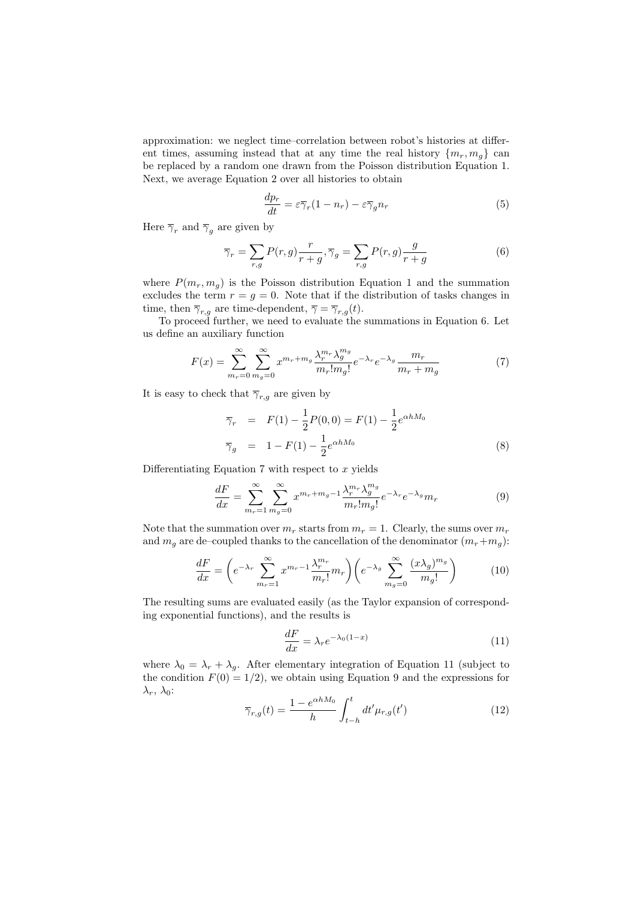approximation: we neglect time–correlation between robot's histories at different times, assuming instead that at any time the real history  ${m_r, m_q}$  can be replaced by a random one drawn from the Poisson distribution Equation 1. Next, we average Equation 2 over all histories to obtain

$$
\frac{dp_r}{dt} = \varepsilon \overline{\gamma}_r (1 - n_r) - \varepsilon \overline{\gamma}_g n_r \tag{5}
$$

Here  $\overline{\gamma}_r$  and  $\overline{\gamma}_q$  are given by

$$
\overline{\gamma}_r = \sum_{r,g} P(r,g) \frac{r}{r+g}, \overline{\gamma}_g = \sum_{r,g} P(r,g) \frac{g}{r+g}
$$
(6)

where  $P(m_r, m_g)$  is the Poisson distribution Equation 1 and the summation excludes the term  $r = g = 0$ . Note that if the distribution of tasks changes in time, then  $\overline{\gamma}_{r,g}$  are time-dependent,  $\overline{\gamma} = \overline{\gamma}_{r,g}(t)$ .

To proceed further, we need to evaluate the summations in Equation 6. Let us define an auxiliary function

$$
F(x) = \sum_{m_r=0}^{\infty} \sum_{m_g=0}^{\infty} x^{m_r + m_g} \frac{\lambda_r^{m_r} \lambda_g^{m_g}}{m_r! m_g!} e^{-\lambda_r} e^{-\lambda_g} \frac{m_r}{m_r + m_g}
$$
(7)

It is easy to check that  $\overline{\gamma}_{r,q}$  are given by

$$
\overline{\gamma}_r = F(1) - \frac{1}{2}P(0,0) = F(1) - \frac{1}{2}e^{\alpha h M_0}
$$
  

$$
\overline{\gamma}_g = 1 - F(1) - \frac{1}{2}e^{\alpha h M_0}
$$
 (8)

Differentiating Equation 7 with respect to  $x$  yields

$$
\frac{dF}{dx} = \sum_{m_r=1}^{\infty} \sum_{m_g=0}^{\infty} x^{m_r + m_g - 1} \frac{\lambda_r^{m_r} \lambda_g^{m_g}}{m_r! m_g!} e^{-\lambda_r} e^{-\lambda_g} m_r \tag{9}
$$

Note that the summation over  $m_r$  starts from  $m_r = 1$ . Clearly, the sums over  $m_r$ and  $m_g$  are de–coupled thanks to the cancellation of the denominator  $(m_r+m_g)$ :

$$
\frac{dF}{dx} = \left(e^{-\lambda_r} \sum_{m_r=1}^{\infty} x^{m_r - 1} \frac{\lambda_r^{m_r}}{m_r!} m_r\right) \left(e^{-\lambda_g} \sum_{m_g=0}^{\infty} \frac{(x\lambda_g)^{m_g}}{m_g!}\right)
$$
(10)

The resulting sums are evaluated easily (as the Taylor expansion of corresponding exponential functions), and the results is

$$
\frac{dF}{dx} = \lambda_r e^{-\lambda_0 (1 - x)}\tag{11}
$$

where  $\lambda_0 = \lambda_r + \lambda_g$ . After elementary integration of Equation 11 (subject to the condition  $F(0) = 1/2$ , we obtain using Equation 9 and the expressions for  $\lambda_r, \lambda_0$ :

$$
\overline{\gamma}_{r,g}(t) = \frac{1 - e^{\alpha h M_0}}{h} \int_{t-h}^t dt' \mu_{r,g}(t')
$$
\n(12)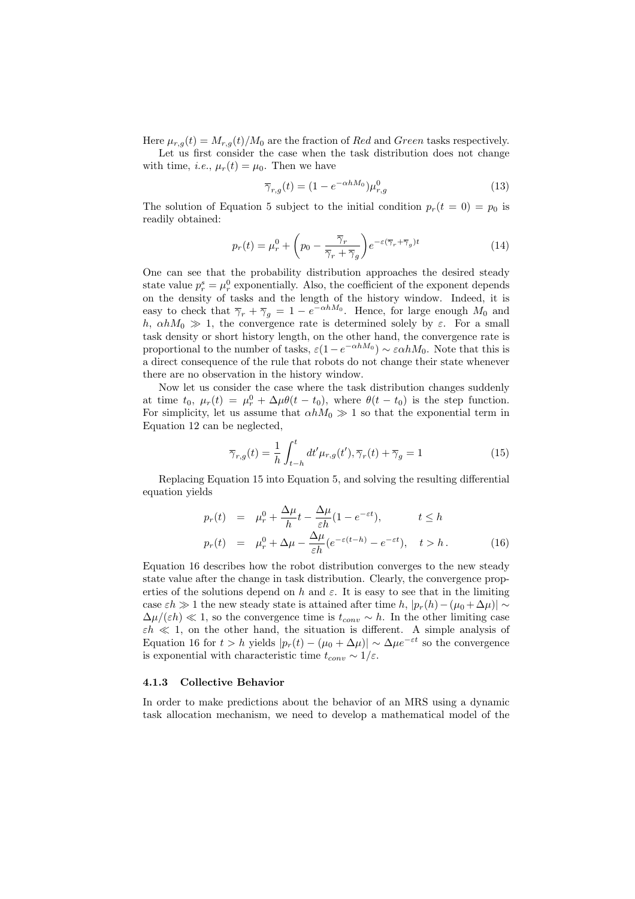Here  $\mu_{r,g}(t) = M_{r,g}(t)/M_0$  are the fraction of Red and Green tasks respectively.

Let us first consider the case when the task distribution does not change with time, *i.e.*,  $\mu_r(t) = \mu_0$ . Then we have

$$
\overline{\gamma}_{r,g}(t) = (1 - e^{-\alpha h M_0}) \mu_{r,g}^0 \tag{13}
$$

The solution of Equation 5 subject to the initial condition  $p_r(t = 0) = p_0$  is readily obtained:

$$
p_r(t) = \mu_r^0 + \left(p_0 - \frac{\overline{\gamma}_r}{\overline{\gamma}_r + \overline{\gamma}_g}\right) e^{-\varepsilon(\overline{\gamma}_r + \overline{\gamma}_g)t}
$$
(14)

One can see that the probability distribution approaches the desired steady state value  $p_r^s = \mu_r^0$  exponentially. Also, the coefficient of the exponent depends on the density of tasks and the length of the history window. Indeed, it is easy to check that  $\overline{\gamma}_r + \overline{\gamma}_g = 1 - e^{-\alpha h M_0}$ . Hence, for large enough  $M_0$  and h,  $\alpha h M_0 \gg 1$ , the convergence rate is determined solely by  $\varepsilon$ . For a small task density or short history length, on the other hand, the convergence rate is proportional to the number of tasks,  $\varepsilon(1-e^{-\alpha hM_0}) \sim \varepsilon \alpha hM_0$ . Note that this is a direct consequence of the rule that robots do not change their state whenever there are no observation in the history window.

Now let us consider the case where the task distribution changes suddenly at time  $t_0$ ,  $\mu_r(t) = \mu_r^0 + \Delta \mu \theta(t - t_0)$ , where  $\theta(t - t_0)$  is the step function. For simplicity, let us assume that  $\alpha h M_0 \gg 1$  so that the exponential term in Equation 12 can be neglected,

$$
\overline{\gamma}_{r,g}(t) = \frac{1}{h} \int_{t-h}^{t} dt' \mu_{r,g}(t'), \overline{\gamma}_r(t) + \overline{\gamma}_g = 1
$$
\n(15)

Replacing Equation 15 into Equation 5, and solving the resulting differential equation yields

$$
p_r(t) = \mu_r^0 + \frac{\Delta \mu}{h} t - \frac{\Delta \mu}{\varepsilon h} (1 - e^{-\varepsilon t}), \qquad t \le h
$$
  

$$
p_r(t) = \mu_r^0 + \Delta \mu - \frac{\Delta \mu}{\varepsilon h} (e^{-\varepsilon (t-h)} - e^{-\varepsilon t}), \quad t > h.
$$
 (16)

Equation 16 describes how the robot distribution converges to the new steady state value after the change in task distribution. Clearly, the convergence properties of the solutions depend on h and  $\varepsilon$ . It is easy to see that in the limiting case  $\varepsilon h \gg 1$  the new steady state is attained after time h,  $|p_r(h)-(\mu_0 + \Delta \mu)| \sim$  $\Delta\mu/(\varepsilon h) \ll 1$ , so the convergence time is  $t_{conv} \sim h$ . In the other limiting case  $\varepsilon h \ll 1$ , on the other hand, the situation is different. A simple analysis of Equation 16 for  $t > h$  yields  $|p_r(t) - (\mu_0 + \Delta \mu)| \sim \Delta \mu e^{-\varepsilon t}$  so the convergence is exponential with characteristic time  $t_{conv} \sim 1/\varepsilon$ .

#### 4.1.3 Collective Behavior

In order to make predictions about the behavior of an MRS using a dynamic task allocation mechanism, we need to develop a mathematical model of the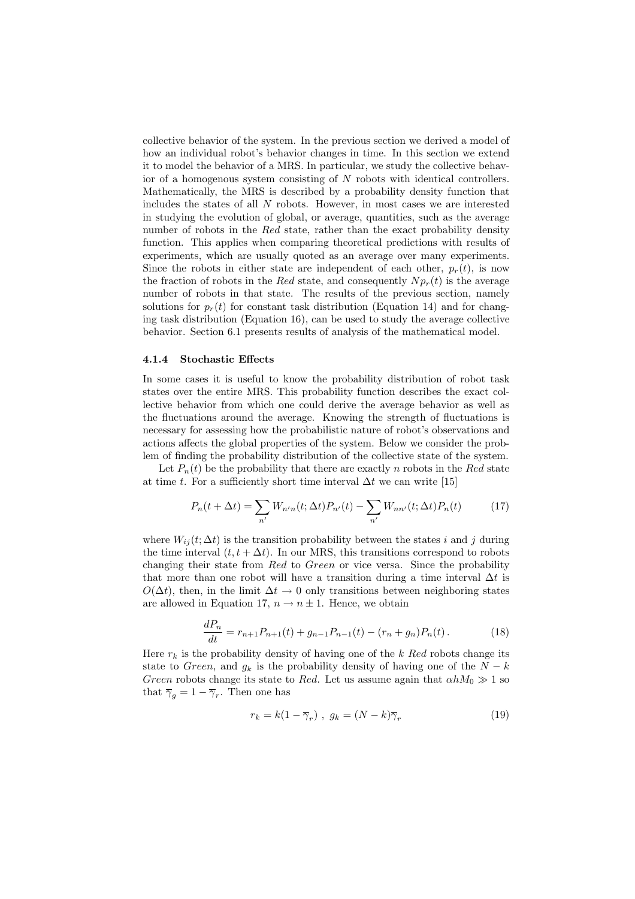collective behavior of the system. In the previous section we derived a model of how an individual robot's behavior changes in time. In this section we extend it to model the behavior of a MRS. In particular, we study the collective behavior of a homogenous system consisting of N robots with identical controllers. Mathematically, the MRS is described by a probability density function that includes the states of all N robots. However, in most cases we are interested in studying the evolution of global, or average, quantities, such as the average number of robots in the Red state, rather than the exact probability density function. This applies when comparing theoretical predictions with results of experiments, which are usually quoted as an average over many experiments. Since the robots in either state are independent of each other,  $p_r(t)$ , is now the fraction of robots in the Red state, and consequently  $N p_r(t)$  is the average number of robots in that state. The results of the previous section, namely solutions for  $p_r(t)$  for constant task distribution (Equation 14) and for changing task distribution (Equation 16), can be used to study the average collective behavior. Section 6.1 presents results of analysis of the mathematical model.

#### 4.1.4 Stochastic Effects

In some cases it is useful to know the probability distribution of robot task states over the entire MRS. This probability function describes the exact collective behavior from which one could derive the average behavior as well as the fluctuations around the average. Knowing the strength of fluctuations is necessary for assessing how the probabilistic nature of robot's observations and actions affects the global properties of the system. Below we consider the problem of finding the probability distribution of the collective state of the system.

Let  $P_n(t)$  be the probability that there are exactly n robots in the Red state at time t. For a sufficiently short time interval  $\Delta t$  we can write [15]

$$
P_n(t + \Delta t) = \sum_{n'} W_{n'n}(t; \Delta t) P_{n'}(t) - \sum_{n'} W_{nn'}(t; \Delta t) P_n(t)
$$
(17)

where  $W_{ij}(t; \Delta t)$  is the transition probability between the states i and j during the time interval  $(t, t + \Delta t)$ . In our MRS, this transitions correspond to robots changing their state from Red to Green or vice versa. Since the probability that more than one robot will have a transition during a time interval  $\Delta t$  is  $O(\Delta t)$ , then, in the limit  $\Delta t \rightarrow 0$  only transitions between neighboring states are allowed in Equation 17,  $n \to n \pm 1$ . Hence, we obtain

$$
\frac{dP_n}{dt} = r_{n+1}P_{n+1}(t) + g_{n-1}P_{n-1}(t) - (r_n + g_n)P_n(t).
$$
 (18)

Here  $r_k$  is the probability density of having one of the k Red robots change its state to Green, and  $g_k$  is the probability density of having one of the  $N - k$ Green robots change its state to Red. Let us assume again that  $\alpha h M_0 \gg 1$  so that  $\overline{\gamma}_g = 1 - \overline{\gamma}_r$ . Then one has

$$
r_k = k(1 - \overline{\gamma}_r), \ g_k = (N - k)\overline{\gamma}_r \tag{19}
$$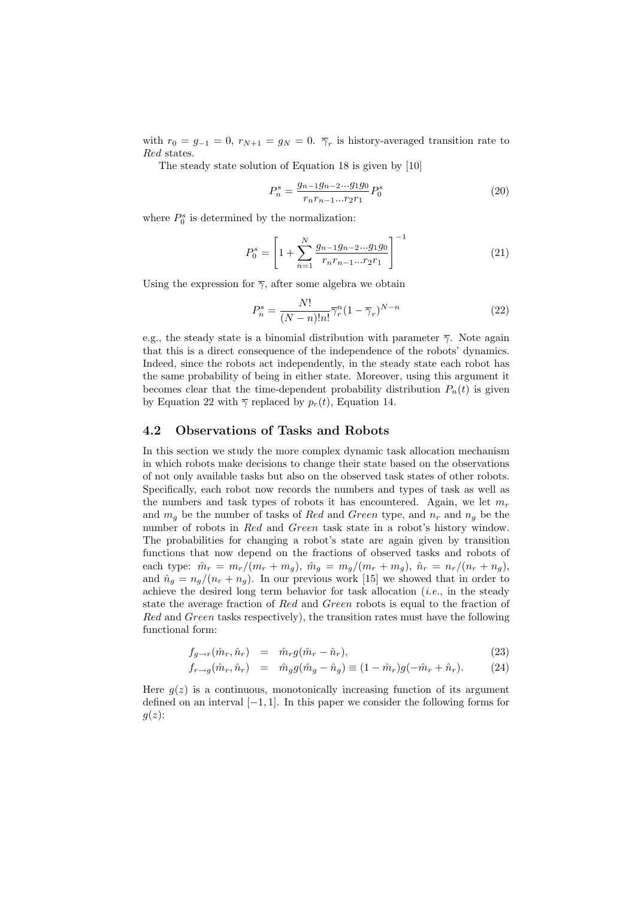with  $r_0 = g_{-1} = 0$ ,  $r_{N+1} = g_N = 0$ .  $\overline{\gamma}_r$  is history-averaged transition rate to Red states.

The steady state solution of Equation 18 is given by [10]

$$
P_n^s = \frac{g_{n-1}g_{n-2}...g_1g_0}{r_n r_{n-1}...r_2 r_1} P_0^s
$$
 (20)

where  $P_0^s$  is determined by the normalization:

$$
P_0^s = \left[1 + \sum_{n=1}^{N} \frac{g_{n-1}g_{n-2}...g_1g_0}{r_n r_{n-1}...r_2 r_1}\right]^{-1}
$$
(21)

Using the expression for  $\overline{\gamma}$ , after some algebra we obtain

$$
P_n^s = \frac{N!}{(N-n)!n!} \overline{\gamma}_r^n (1 - \overline{\gamma}_r)^{N-n}
$$
\n(22)

e.g., the steady state is a binomial distribution with parameter  $\overline{\gamma}$ . Note again that this is a direct consequence of the independence of the robots' dynamics. Indeed, since the robots act independently, in the steady state each robot has the same probability of being in either state. Moreover, using this argument it becomes clear that the time-dependent probability distribution  $P_n(t)$  is given by Equation 22 with  $\overline{\gamma}$  replaced by  $p_r(t)$ , Equation 14.

### 4.2 Observations of Tasks and Robots

In this section we study the more complex dynamic task allocation mechanism in which robots make decisions to change their state based on the observations of not only available tasks but also on the observed task states of other robots. Specifically, each robot now records the numbers and types of task as well as the numbers and task types of robots it has encountered. Again, we let  $m_r$ and  $m_q$  be the number of tasks of Red and Green type, and  $n_r$  and  $n_q$  be the number of robots in Red and Green task state in a robot's history window. The probabilities for changing a robot's state are again given by transition functions that now depend on the fractions of observed tasks and robots of each type:  $\hat{m}_r = m_r/(m_r + m_q)$ ,  $\hat{m}_q = m_q/(m_r + m_q)$ ,  $\hat{n}_r = n_r/(n_r + n_q)$ , and  $\hat{n}_g = n_g/(n_r + n_g)$ . In our previous work [15] we showed that in order to achieve the desired long term behavior for task allocation  $(i.e.,$  in the steady state the average fraction of Red and Green robots is equal to the fraction of Red and Green tasks respectively), the transition rates must have the following functional form:

$$
f_{g \to r}(\hat{m}_r, \hat{n}_r) = \hat{m}_r g(\hat{m}_r - \hat{n}_r), \qquad (23)
$$

$$
f_{r \to g}(\hat{m}_r, \hat{n}_r) = \hat{m}_g g(\hat{m}_g - \hat{n}_g) \equiv (1 - \hat{m}_r)g(-\hat{m}_r + \hat{n}_r). \tag{24}
$$

Here  $g(z)$  is a continuous, monotonically increasing function of its argument defined on an interval  $[-1, 1]$ . In this paper we consider the following forms for  $g(z)$ :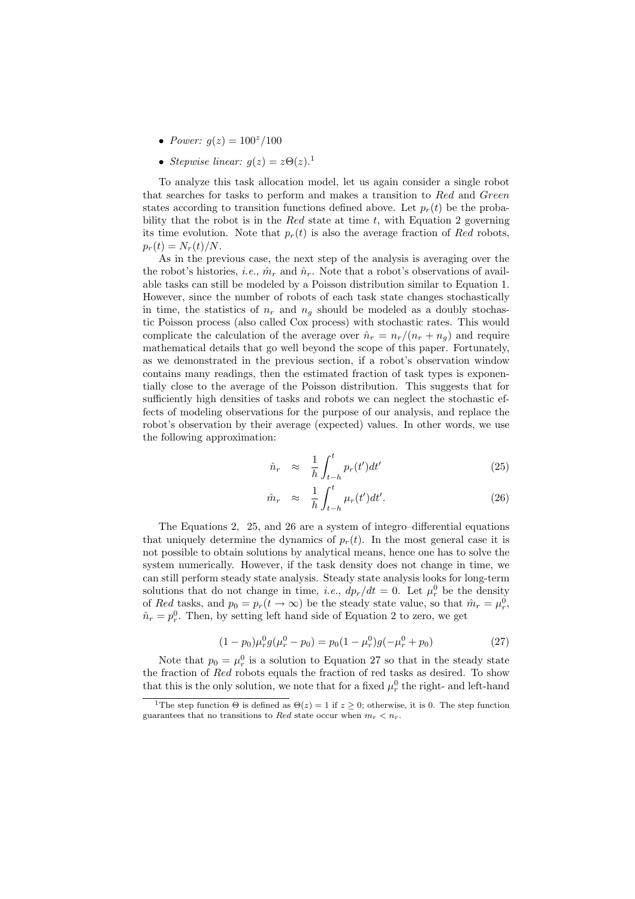- Power:  $q(z) = 100^z/100$
- Stepwise linear:  $q(z) = z\Theta(z)$ .<sup>1</sup>

To analyze this task allocation model, let us again consider a single robot that searches for tasks to perform and makes a transition to Red and Green states according to transition functions defined above. Let  $p_r(t)$  be the probability that the robot is in the Red state at time  $t$ , with Equation 2 governing its time evolution. Note that  $p_r(t)$  is also the average fraction of Red robots,  $p_r(t) = N_r(t)/N$ .

As in the previous case, the next step of the analysis is averaging over the the robot's histories, *i.e.*,  $\hat{m}_r$  and  $\hat{n}_r$ . Note that a robot's observations of available tasks can still be modeled by a Poisson distribution similar to Equation 1. However, since the number of robots of each task state changes stochastically in time, the statistics of  $n_r$  and  $n_q$  should be modeled as a doubly stochastic Poisson process (also called Cox process) with stochastic rates. This would complicate the calculation of the average over  $\hat{n}_r = n_r/(n_r + n_q)$  and require mathematical details that go well beyond the scope of this paper. Fortunately, as we demonstrated in the previous section, if a robot's observation window contains many readings, then the estimated fraction of task types is exponentially close to the average of the Poisson distribution. This suggests that for sufficiently high densities of tasks and robots we can neglect the stochastic effects of modeling observations for the purpose of our analysis, and replace the robot's observation by their average (expected) values. In other words, we use the following approximation:

$$
\hat{n}_r \approx \frac{1}{h} \int_{t-h}^t p_r(t')dt' \tag{25}
$$

$$
\hat{m}_r \approx \frac{1}{h} \int_{t-h}^t \mu_r(t')dt'.
$$
\n(26)

The Equations 2, 25, and 26 are a system of integro–differential equations that uniquely determine the dynamics of  $p_r(t)$ . In the most general case it is not possible to obtain solutions by analytical means, hence one has to solve the system numerically. However, if the task density does not change in time, we can still perform steady state analysis. Steady state analysis looks for long-term solutions that do not change in time, *i.e.*,  $dp_r/dt = 0$ . Let  $\mu_r^0$  be the density of Red tasks, and  $p_0 = p_r(t \to \infty)$  be the steady state value, so that  $\hat{m}_r = \mu_r^0$ ,  $\hat{n}_r = p_r^0$ . Then, by setting left hand side of Equation 2 to zero, we get

$$
(1 - p_0)\mu_r^0 g(\mu_r^0 - p_0) = p_0 (1 - \mu_r^0) g(-\mu_r^0 + p_0)
$$
\n(27)

Note that  $p_0 = \mu_r^0$  is a solution to Equation 27 so that in the steady state the fraction of Red robots equals the fraction of red tasks as desired. To show that this is the only solution, we note that for a fixed  $\mu_r^0$  the right- and left-hand

<sup>&</sup>lt;sup>1</sup>The step function  $\Theta$  is defined as  $\Theta(z) = 1$  if  $z \geq 0$ ; otherwise, it is 0. The step function guarantees that no transitions to Red state occur when  $m_r < n_r$ .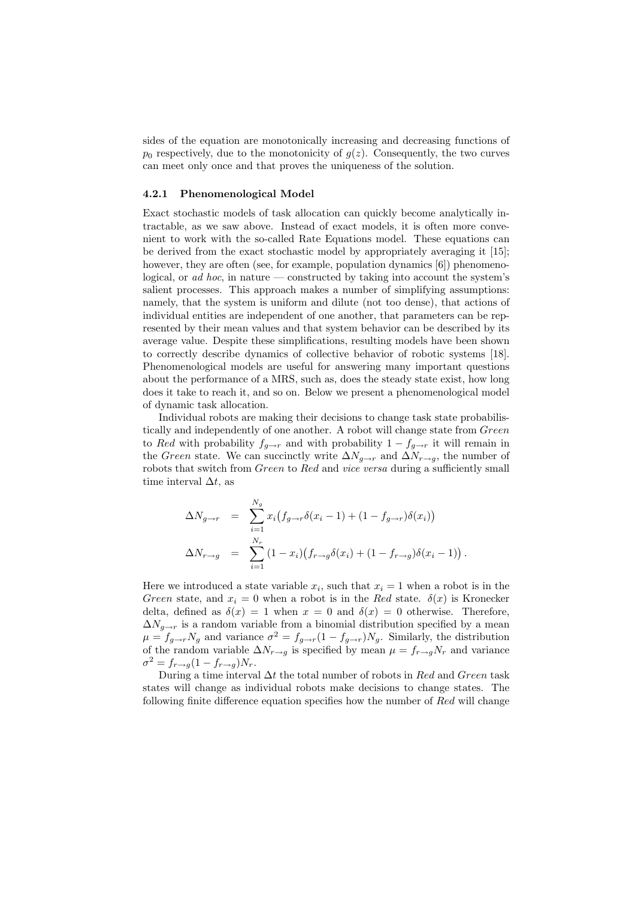sides of the equation are monotonically increasing and decreasing functions of  $p_0$  respectively, due to the monotonicity of  $g(z)$ . Consequently, the two curves can meet only once and that proves the uniqueness of the solution.

#### 4.2.1 Phenomenological Model

Exact stochastic models of task allocation can quickly become analytically intractable, as we saw above. Instead of exact models, it is often more convenient to work with the so-called Rate Equations model. These equations can be derived from the exact stochastic model by appropriately averaging it [15]; however, they are often (see, for example, population dynamics [6]) phenomenological, or ad hoc, in nature — constructed by taking into account the system's salient processes. This approach makes a number of simplifying assumptions: namely, that the system is uniform and dilute (not too dense), that actions of individual entities are independent of one another, that parameters can be represented by their mean values and that system behavior can be described by its average value. Despite these simplifications, resulting models have been shown to correctly describe dynamics of collective behavior of robotic systems [18]. Phenomenological models are useful for answering many important questions about the performance of a MRS, such as, does the steady state exist, how long does it take to reach it, and so on. Below we present a phenomenological model of dynamic task allocation.

Individual robots are making their decisions to change task state probabilistically and independently of one another. A robot will change state from Green to Red with probability  $f_{g\to r}$  and with probability  $1 - f_{g\to r}$  it will remain in the Green state. We can succinctly write  $\Delta N_{g\rightarrow r}$  and  $\Delta N_{r\rightarrow g}$ , the number of robots that switch from Green to Red and vice versa during a sufficiently small time interval  $\Delta t$ , as

$$
\Delta N_{g \to r} = \sum_{i=1}^{N_g} x_i (f_{g \to r} \delta(x_i - 1) + (1 - f_{g \to r}) \delta(x_i))
$$
  

$$
\Delta N_{r \to g} = \sum_{i=1}^{N_r} (1 - x_i) (f_{r \to g} \delta(x_i) + (1 - f_{r \to g}) \delta(x_i - 1)).
$$

Here we introduced a state variable  $x_i$ , such that  $x_i = 1$  when a robot is in the Green state, and  $x_i = 0$  when a robot is in the Red state.  $\delta(x)$  is Kronecker delta, defined as  $\delta(x) = 1$  when  $x = 0$  and  $\delta(x) = 0$  otherwise. Therefore,  $\Delta N_{q\rightarrow r}$  is a random variable from a binomial distribution specified by a mean  $\mu = f_{g \to r} N_g$  and variance  $\sigma^2 = f_{g \to r} (1 - f_{g \to r}) N_g$ . Similarly, the distribution of the random variable  $\Delta N_{r\rightarrow g}$  is specified by mean  $\mu = f_{r\rightarrow g}N_r$  and variance  $\sigma^2 = f_{r \to g} (1 - f_{r \to g}) N_r.$ 

During a time interval  $\Delta t$  the total number of robots in Red and Green task states will change as individual robots make decisions to change states. The following finite difference equation specifies how the number of Red will change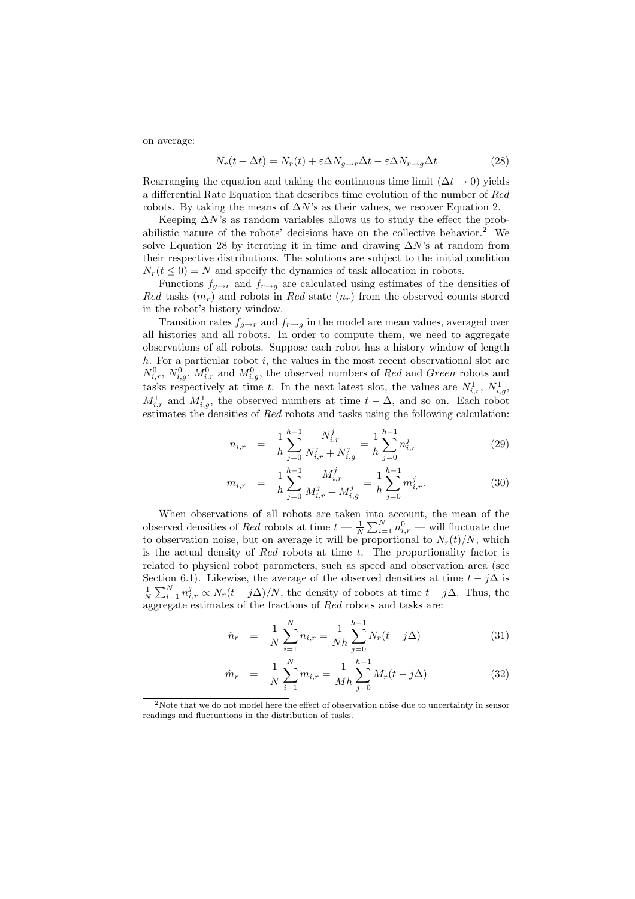on average:

$$
N_r(t + \Delta t) = N_r(t) + \varepsilon \Delta N_{g \to r} \Delta t - \varepsilon \Delta N_{r \to g} \Delta t \tag{28}
$$

Rearranging the equation and taking the continuous time limit  $(\Delta t \rightarrow 0)$  yields a differential Rate Equation that describes time evolution of the number of Red robots. By taking the means of  $\Delta N$ 's as their values, we recover Equation 2.

Keeping  $\Delta N$ 's as random variables allows us to study the effect the probabilistic nature of the robots' decisions have on the collective behavior.<sup>2</sup> We solve Equation 28 by iterating it in time and drawing  $\Delta N$ 's at random from their respective distributions. The solutions are subject to the initial condition  $N_r(t \leq 0) = N$  and specify the dynamics of task allocation in robots.

Functions  $f_{g\to r}$  and  $f_{r\to g}$  are calculated using estimates of the densities of Red tasks  $(m_r)$  and robots in Red state  $(n_r)$  from the observed counts stored in the robot's history window.

Transition rates  $f_{q\rightarrow r}$  and  $f_{r\rightarrow q}$  in the model are mean values, averaged over all histories and all robots. In order to compute them, we need to aggregate observations of all robots. Suppose each robot has a history window of length  $h$ . For a particular robot  $i$ , the values in the most recent observational slot are  $N_{i,r}^0$ ,  $N_{i,g}^0$ ,  $M_{i,r}^0$  and  $M_{i,g}^0$ , the observed numbers of Red and Green robots and tasks respectively at time t. In the next latest slot, the values are  $N_{i,r}^1$ ,  $N_{i,g}^1$ ,  $M_{i,r}^1$  and  $M_{i,g}^1$ , the observed numbers at time  $t - \Delta$ , and so on. Each robot estimates the densities of Red robots and tasks using the following calculation:

$$
n_{i,r} = \frac{1}{h} \sum_{j=0}^{h-1} \frac{N_{i,r}^j}{N_{i,r}^j + N_{i,g}^j} = \frac{1}{h} \sum_{j=0}^{h-1} n_{i,r}^j
$$
(29)

$$
m_{i,r} = \frac{1}{h} \sum_{j=0}^{h-1} \frac{M_{i,r}^j}{M_{i,r}^j + M_{i,g}^j} = \frac{1}{h} \sum_{j=0}^{h-1} m_{i,r}^j.
$$
 (30)

When observations of all robots are taken into account, the mean of the observed densities of Red robots at time  $t - \frac{1}{N}$ nto account, the mean of the<br> $\sum_{i=1}^{N} n_{i,r}^0$  — will fluctuate due to observation noise, but on average it will be proportional to  $N_r(t)/N$ , which is the actual density of Red robots at time t. The proportionality factor is related to physical robot parameters, such as speed and observation area (see Section 6.1). Likewise, the average of the observed densities at time  $t - j\Delta$  is  $\frac{1}{N}$  $\sum_{i=1}^{N} n_{i,r}^{j} \propto N_r(t - j\Delta)/N$ , the density of robots at time  $t - j\Delta$ . Thus, the aggregate estimates of the fractions of Red robots and tasks are:

$$
\hat{n}_r = \frac{1}{N} \sum_{i=1}^{N} n_{i,r} = \frac{1}{Nh} \sum_{j=0}^{h-1} N_r(t - j\Delta)
$$
\n(31)

$$
\hat{m}_r = \frac{1}{N} \sum_{i=1}^{N} m_{i,r} = \frac{1}{Mh} \sum_{j=0}^{h-1} M_r(t - j\Delta)
$$
\n(32)

<sup>2</sup>Note that we do not model here the effect of observation noise due to uncertainty in sensor readings and fluctuations in the distribution of tasks.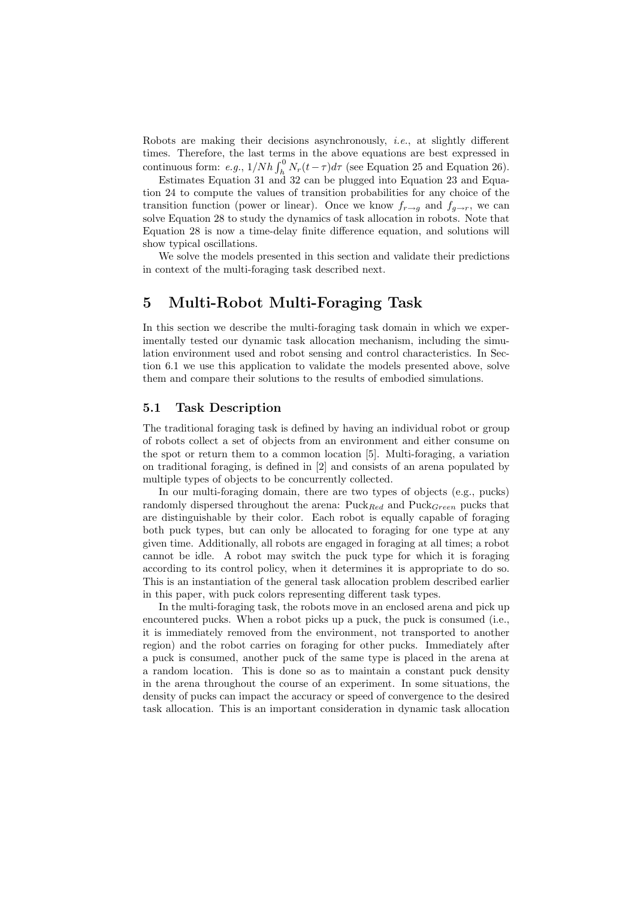Robots are making their decisions asynchronously, *i.e.*, at slightly different times. Therefore, the last terms in the above equations are best expressed in continuous form: e.g.,  $1/Nh \int_h^0 N_r(t-\tau) d\tau$  (see Equation 25 and Equation 26).

Estimates Equation 31 and 32 can be plugged into Equation 23 and Equation 24 to compute the values of transition probabilities for any choice of the transition function (power or linear). Once we know  $f_{r\to q}$  and  $f_{q\to r}$ , we can solve Equation 28 to study the dynamics of task allocation in robots. Note that Equation 28 is now a time-delay finite difference equation, and solutions will show typical oscillations.

We solve the models presented in this section and validate their predictions in context of the multi-foraging task described next.

## 5 Multi-Robot Multi-Foraging Task

In this section we describe the multi-foraging task domain in which we experimentally tested our dynamic task allocation mechanism, including the simulation environment used and robot sensing and control characteristics. In Section 6.1 we use this application to validate the models presented above, solve them and compare their solutions to the results of embodied simulations.

### 5.1 Task Description

The traditional foraging task is defined by having an individual robot or group of robots collect a set of objects from an environment and either consume on the spot or return them to a common location [5]. Multi-foraging, a variation on traditional foraging, is defined in [2] and consists of an arena populated by multiple types of objects to be concurrently collected.

In our multi-foraging domain, there are two types of objects (e.g., pucks) randomly dispersed throughout the arena:  $Puck_{Red}$  and  $Puck_{Green}$  pucks that are distinguishable by their color. Each robot is equally capable of foraging both puck types, but can only be allocated to foraging for one type at any given time. Additionally, all robots are engaged in foraging at all times; a robot cannot be idle. A robot may switch the puck type for which it is foraging according to its control policy, when it determines it is appropriate to do so. This is an instantiation of the general task allocation problem described earlier in this paper, with puck colors representing different task types.

In the multi-foraging task, the robots move in an enclosed arena and pick up encountered pucks. When a robot picks up a puck, the puck is consumed (i.e., it is immediately removed from the environment, not transported to another region) and the robot carries on foraging for other pucks. Immediately after a puck is consumed, another puck of the same type is placed in the arena at a random location. This is done so as to maintain a constant puck density in the arena throughout the course of an experiment. In some situations, the density of pucks can impact the accuracy or speed of convergence to the desired task allocation. This is an important consideration in dynamic task allocation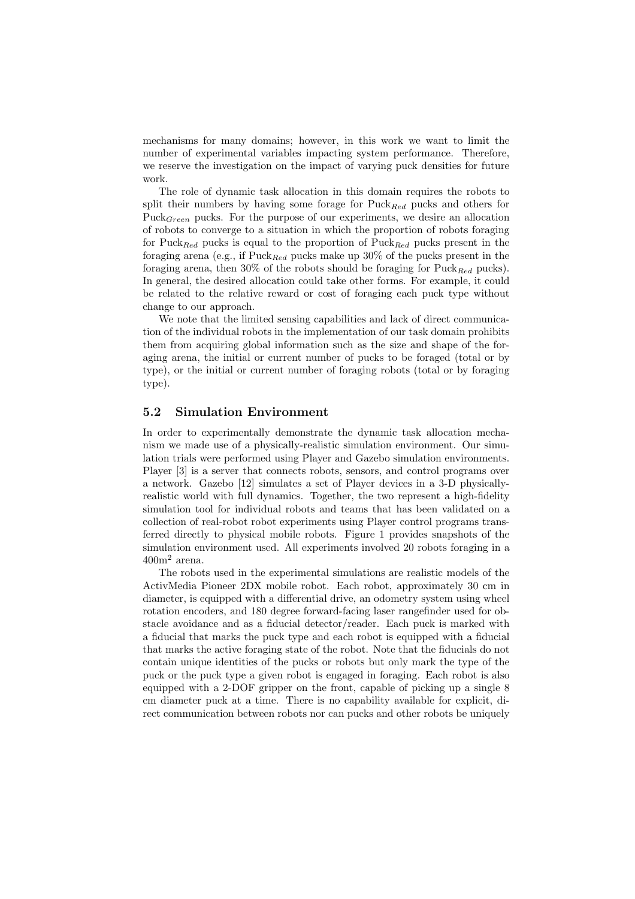mechanisms for many domains; however, in this work we want to limit the number of experimental variables impacting system performance. Therefore, we reserve the investigation on the impact of varying puck densities for future work.

The role of dynamic task allocation in this domain requires the robots to split their numbers by having some forage for  $Puck_{Red}$  pucks and others for Puck $_{Green}$  pucks. For the purpose of our experiments, we desire an allocation of robots to converge to a situation in which the proportion of robots foraging for Puck<sub>Red</sub> pucks is equal to the proportion of Puck<sub>Red</sub> pucks present in the foraging arena (e.g., if  $Puck_{Red}$  pucks make up 30% of the pucks present in the foraging arena, then 30% of the robots should be foraging for  $Puck_{Red}$  pucks). In general, the desired allocation could take other forms. For example, it could be related to the relative reward or cost of foraging each puck type without change to our approach.

We note that the limited sensing capabilities and lack of direct communication of the individual robots in the implementation of our task domain prohibits them from acquiring global information such as the size and shape of the foraging arena, the initial or current number of pucks to be foraged (total or by type), or the initial or current number of foraging robots (total or by foraging type).

### 5.2 Simulation Environment

In order to experimentally demonstrate the dynamic task allocation mechanism we made use of a physically-realistic simulation environment. Our simulation trials were performed using Player and Gazebo simulation environments. Player [3] is a server that connects robots, sensors, and control programs over a network. Gazebo [12] simulates a set of Player devices in a 3-D physicallyrealistic world with full dynamics. Together, the two represent a high-fidelity simulation tool for individual robots and teams that has been validated on a collection of real-robot robot experiments using Player control programs transferred directly to physical mobile robots. Figure 1 provides snapshots of the simulation environment used. All experiments involved 20 robots foraging in a  $400m<sup>2</sup>$  arena.

The robots used in the experimental simulations are realistic models of the ActivMedia Pioneer 2DX mobile robot. Each robot, approximately 30 cm in diameter, is equipped with a differential drive, an odometry system using wheel rotation encoders, and 180 degree forward-facing laser rangefinder used for obstacle avoidance and as a fiducial detector/reader. Each puck is marked with a fiducial that marks the puck type and each robot is equipped with a fiducial that marks the active foraging state of the robot. Note that the fiducials do not contain unique identities of the pucks or robots but only mark the type of the puck or the puck type a given robot is engaged in foraging. Each robot is also equipped with a 2-DOF gripper on the front, capable of picking up a single 8 cm diameter puck at a time. There is no capability available for explicit, direct communication between robots nor can pucks and other robots be uniquely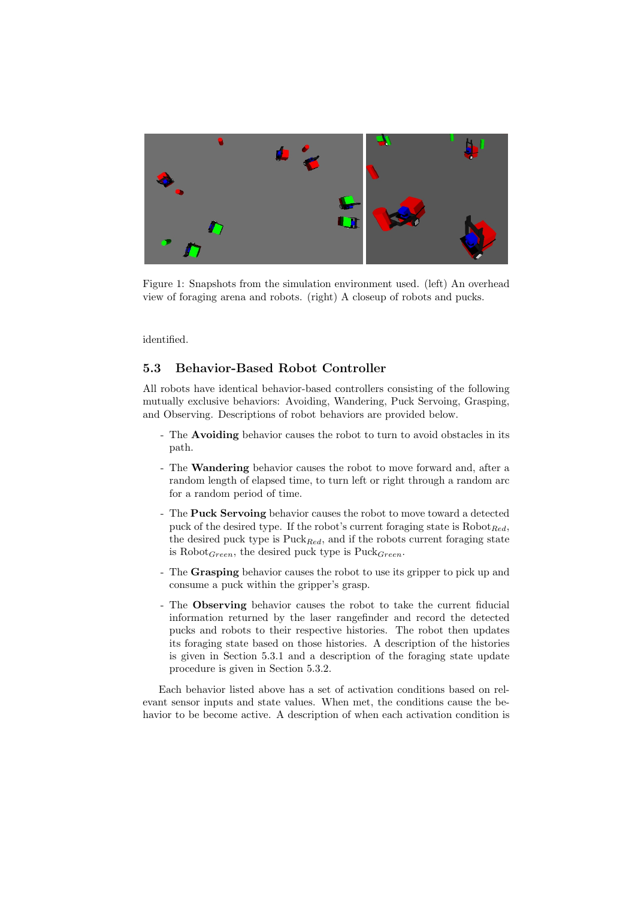

Figure 1: Snapshots from the simulation environment used. (left) An overhead view of foraging arena and robots. (right) A closeup of robots and pucks.

identified.

### 5.3 Behavior-Based Robot Controller

All robots have identical behavior-based controllers consisting of the following mutually exclusive behaviors: Avoiding, Wandering, Puck Servoing, Grasping, and Observing. Descriptions of robot behaviors are provided below.

- The Avoiding behavior causes the robot to turn to avoid obstacles in its path.
- The Wandering behavior causes the robot to move forward and, after a random length of elapsed time, to turn left or right through a random arc for a random period of time.
- The Puck Servoing behavior causes the robot to move toward a detected puck of the desired type. If the robot's current foraging state is  $\text{Robot}_{Red}$ , the desired puck type is  $Puck_{Red}$ , and if the robots current foraging state is  $Robot_{Green}$ , the desired puck type is  $Puck_{Green}$ .
- The Grasping behavior causes the robot to use its gripper to pick up and consume a puck within the gripper's grasp.
- The Observing behavior causes the robot to take the current fiducial information returned by the laser rangefinder and record the detected pucks and robots to their respective histories. The robot then updates its foraging state based on those histories. A description of the histories is given in Section 5.3.1 and a description of the foraging state update procedure is given in Section 5.3.2.

Each behavior listed above has a set of activation conditions based on relevant sensor inputs and state values. When met, the conditions cause the behavior to be become active. A description of when each activation condition is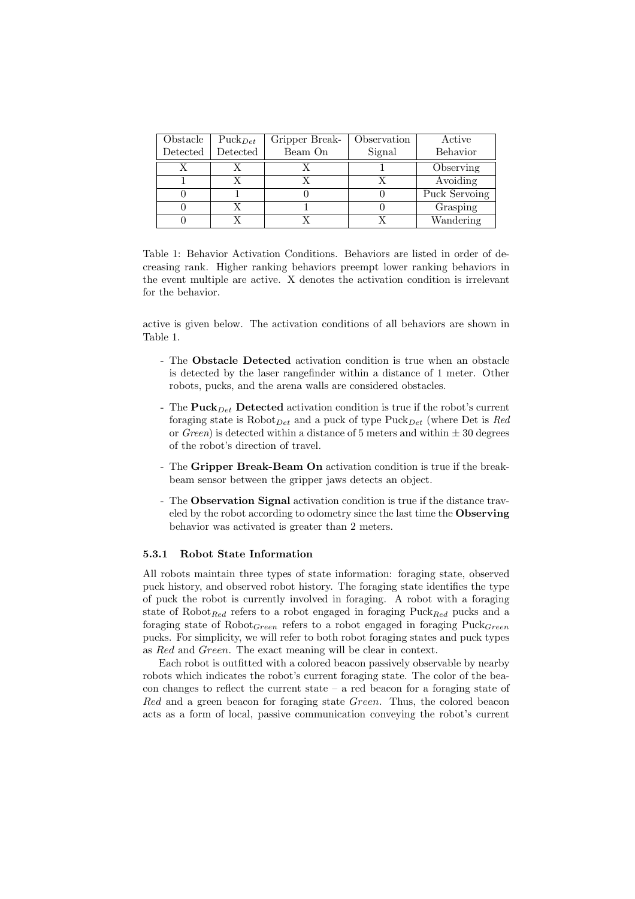| Obstacle | $Puck_{Det}$ | Gripper Break- | Observation | Active        |
|----------|--------------|----------------|-------------|---------------|
| Detected | Detected     | Beam On        | Signal      | Behavior      |
|          |              |                |             | Observing     |
|          |              |                |             | Avoiding      |
|          |              |                |             | Puck Servoing |
|          |              |                |             | Grasping      |
|          |              |                |             | Wandering     |

Table 1: Behavior Activation Conditions. Behaviors are listed in order of decreasing rank. Higher ranking behaviors preempt lower ranking behaviors in the event multiple are active. X denotes the activation condition is irrelevant for the behavior.

active is given below. The activation conditions of all behaviors are shown in Table 1.

- The Obstacle Detected activation condition is true when an obstacle is detected by the laser rangefinder within a distance of 1 meter. Other robots, pucks, and the arena walls are considered obstacles.
- The Puck $_{Det}$  Detected activation condition is true if the robot's current foraging state is  $Robot_{Det}$  and a puck of type  $Puck_{Det}$  (where Det is Red or *Green*) is detected within a distance of 5 meters and within  $\pm$  30 degrees of the robot's direction of travel.
- The Gripper Break-Beam On activation condition is true if the breakbeam sensor between the gripper jaws detects an object.
- The Observation Signal activation condition is true if the distance traveled by the robot according to odometry since the last time the Observing behavior was activated is greater than 2 meters.

### 5.3.1 Robot State Information

All robots maintain three types of state information: foraging state, observed puck history, and observed robot history. The foraging state identifies the type of puck the robot is currently involved in foraging. A robot with a foraging state of  $Robot_{Red}$  refers to a robot engaged in foraging  $Puck_{Red}$  pucks and a foraging state of  $Robot_{Green}$  refers to a robot engaged in foraging  $Puck_{Green}$ pucks. For simplicity, we will refer to both robot foraging states and puck types as Red and Green. The exact meaning will be clear in context.

Each robot is outfitted with a colored beacon passively observable by nearby robots which indicates the robot's current foraging state. The color of the beacon changes to reflect the current state  $-$  a red beacon for a foraging state of Red and a green beacon for foraging state Green. Thus, the colored beacon acts as a form of local, passive communication conveying the robot's current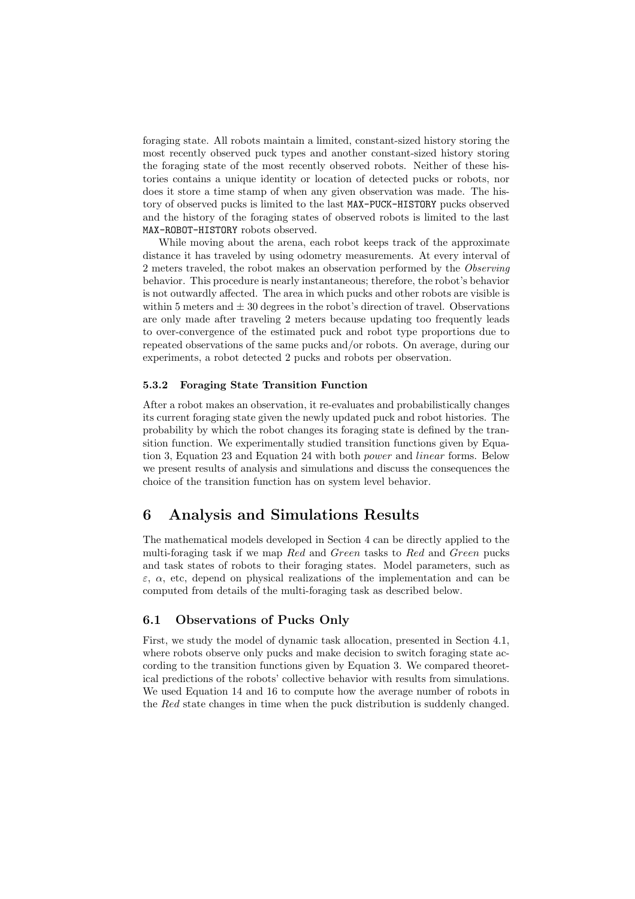foraging state. All robots maintain a limited, constant-sized history storing the most recently observed puck types and another constant-sized history storing the foraging state of the most recently observed robots. Neither of these histories contains a unique identity or location of detected pucks or robots, nor does it store a time stamp of when any given observation was made. The history of observed pucks is limited to the last MAX-PUCK-HISTORY pucks observed and the history of the foraging states of observed robots is limited to the last MAX-ROBOT-HISTORY robots observed.

While moving about the arena, each robot keeps track of the approximate distance it has traveled by using odometry measurements. At every interval of 2 meters traveled, the robot makes an observation performed by the Observing behavior. This procedure is nearly instantaneous; therefore, the robot's behavior is not outwardly affected. The area in which pucks and other robots are visible is within 5 meters and  $\pm$  30 degrees in the robot's direction of travel. Observations are only made after traveling 2 meters because updating too frequently leads to over-convergence of the estimated puck and robot type proportions due to repeated observations of the same pucks and/or robots. On average, during our experiments, a robot detected 2 pucks and robots per observation.

#### 5.3.2 Foraging State Transition Function

After a robot makes an observation, it re-evaluates and probabilistically changes its current foraging state given the newly updated puck and robot histories. The probability by which the robot changes its foraging state is defined by the transition function. We experimentally studied transition functions given by Equation 3, Equation 23 and Equation 24 with both power and linear forms. Below we present results of analysis and simulations and discuss the consequences the choice of the transition function has on system level behavior.

## 6 Analysis and Simulations Results

The mathematical models developed in Section 4 can be directly applied to the multi-foraging task if we map Red and Green tasks to Red and Green pucks and task states of robots to their foraging states. Model parameters, such as  $\varepsilon$ ,  $\alpha$ , etc, depend on physical realizations of the implementation and can be computed from details of the multi-foraging task as described below.

### 6.1 Observations of Pucks Only

First, we study the model of dynamic task allocation, presented in Section 4.1, where robots observe only pucks and make decision to switch foraging state according to the transition functions given by Equation 3. We compared theoretical predictions of the robots' collective behavior with results from simulations. We used Equation 14 and 16 to compute how the average number of robots in the Red state changes in time when the puck distribution is suddenly changed.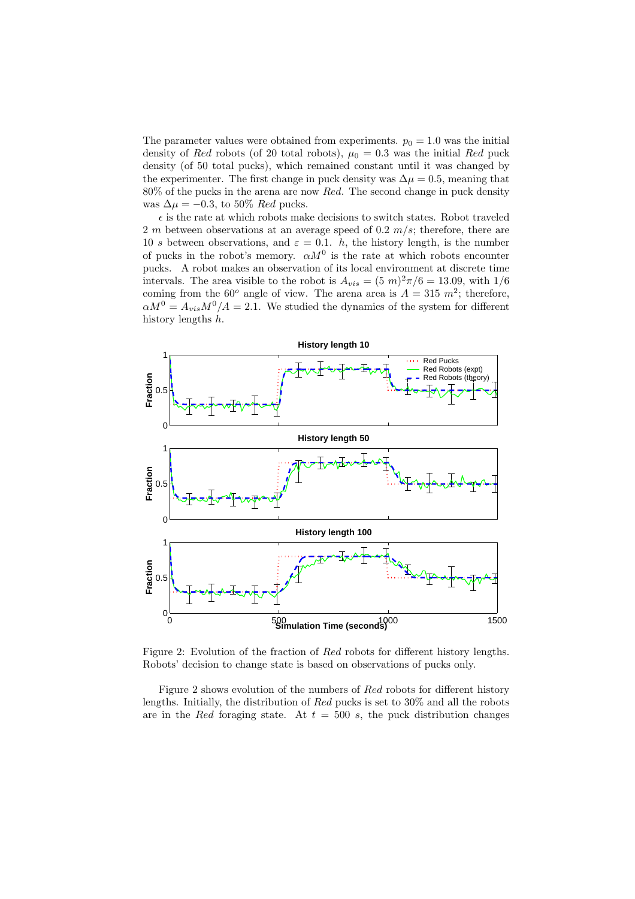The parameter values were obtained from experiments.  $p_0 = 1.0$  was the initial density of Red robots (of 20 total robots),  $\mu_0 = 0.3$  was the initial Red puck density (of 50 total pucks), which remained constant until it was changed by the experimenter. The first change in puck density was  $\Delta \mu = 0.5$ , meaning that 80% of the pucks in the arena are now Red. The second change in puck density was  $\Delta \mu = -0.3$ , to 50% Red pucks.

 $\epsilon$  is the rate at which robots make decisions to switch states. Robot traveled 2 m between observations at an average speed of 0.2  $m/s$ ; therefore, there are 10 s between observations, and  $\varepsilon = 0.1$ . h, the history length, is the number of pucks in the robot's memory.  $\alpha M^0$  is the rate at which robots encounter pucks. A robot makes an observation of its local environment at discrete time intervals. The area visible to the robot is  $A_{vis} = (5 \, m)^2 \pi/6 = 13.09$ , with  $1/6$ coming from the  $60^{\circ}$  angle of view. The arena area is  $A = 315$   $m^2$ ; therefore,  $\alpha M^0 = A_{vis} M^0 / A = 2.1$ . We studied the dynamics of the system for different history lengths h.



Figure 2: Evolution of the fraction of Red robots for different history lengths. Robots' decision to change state is based on observations of pucks only.

Figure 2 shows evolution of the numbers of Red robots for different history lengths. Initially, the distribution of Red pucks is set to 30% and all the robots are in the Red foraging state. At  $t = 500 s$ , the puck distribution changes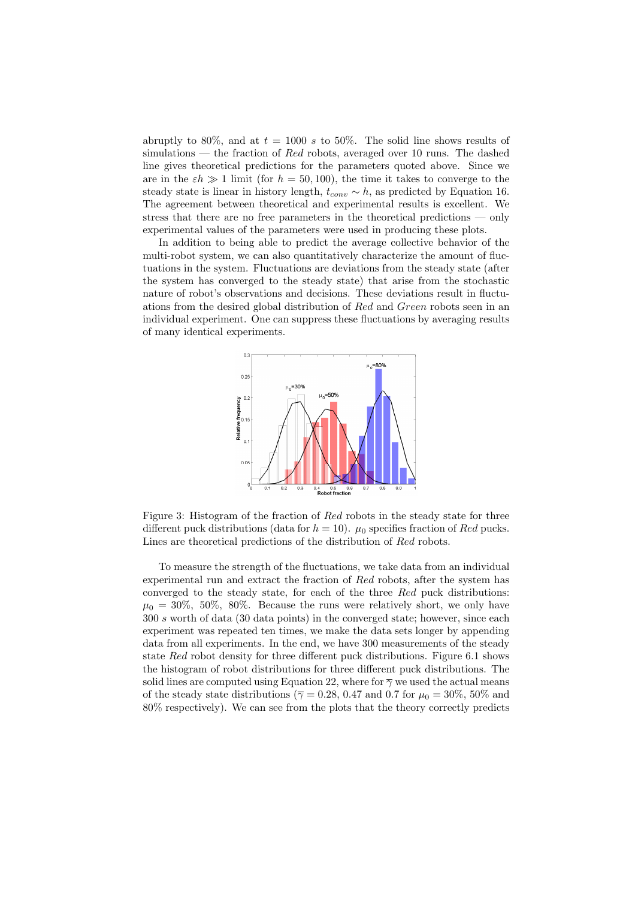abruptly to 80%, and at  $t = 1000 s$  to 50%. The solid line shows results of simulations — the fraction of Red robots, averaged over 10 runs. The dashed line gives theoretical predictions for the parameters quoted above. Since we are in the  $\varepsilon h \gg 1$  limit (for  $h = 50, 100$ ), the time it takes to converge to the steady state is linear in history length,  $t_{conv} \sim h$ , as predicted by Equation 16. The agreement between theoretical and experimental results is excellent. We stress that there are no free parameters in the theoretical predictions — only experimental values of the parameters were used in producing these plots.

In addition to being able to predict the average collective behavior of the multi-robot system, we can also quantitatively characterize the amount of fluctuations in the system. Fluctuations are deviations from the steady state (after the system has converged to the steady state) that arise from the stochastic nature of robot's observations and decisions. These deviations result in fluctuations from the desired global distribution of Red and Green robots seen in an individual experiment. One can suppress these fluctuations by averaging results of many identical experiments.



Figure 3: Histogram of the fraction of Red robots in the steady state for three different puck distributions (data for  $h = 10$ ).  $\mu_0$  specifies fraction of Red pucks. Lines are theoretical predictions of the distribution of Red robots.

To measure the strength of the fluctuations, we take data from an individual experimental run and extract the fraction of Red robots, after the system has converged to the steady state, for each of the three Red puck distributions:  $\mu_0 = 30\%, 50\%, 80\%$ . Because the runs were relatively short, we only have 300 s worth of data (30 data points) in the converged state; however, since each experiment was repeated ten times, we make the data sets longer by appending data from all experiments. In the end, we have 300 measurements of the steady state Red robot density for three different puck distributions. Figure 6.1 shows the histogram of robot distributions for three different puck distributions. The solid lines are computed using Equation 22, where for  $\overline{\gamma}$  we used the actual means of the steady state distributions ( $\overline{\gamma} = 0.28, 0.47, \text{ and } 0.7$  for  $\mu_0 = 30\%, 50\%$  and 80% respectively). We can see from the plots that the theory correctly predicts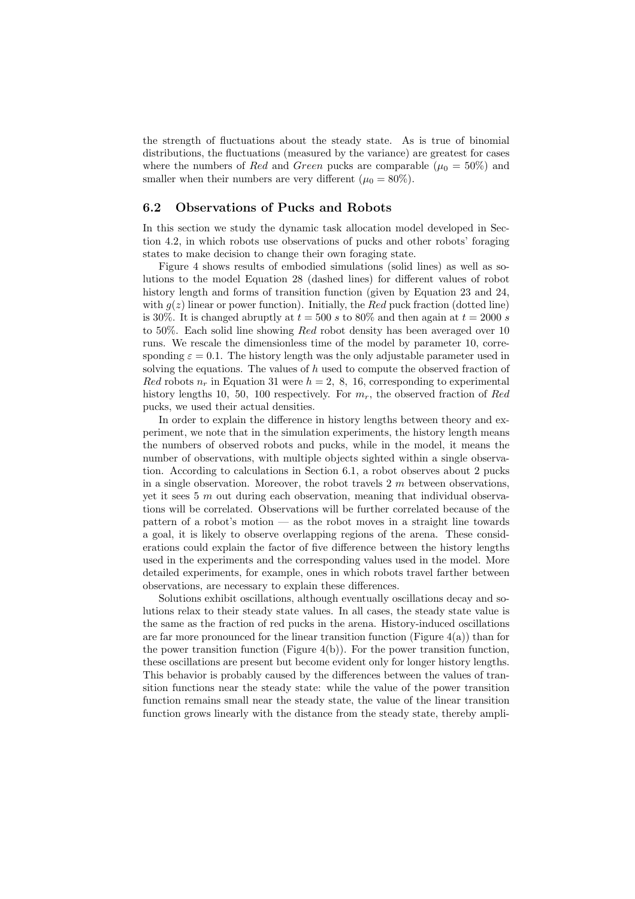the strength of fluctuations about the steady state. As is true of binomial distributions, the fluctuations (measured by the variance) are greatest for cases where the numbers of Red and Green pucks are comparable ( $\mu_0 = 50\%$ ) and smaller when their numbers are very different ( $\mu_0 = 80\%$ ).

### 6.2 Observations of Pucks and Robots

In this section we study the dynamic task allocation model developed in Section 4.2, in which robots use observations of pucks and other robots' foraging states to make decision to change their own foraging state.

Figure 4 shows results of embodied simulations (solid lines) as well as solutions to the model Equation 28 (dashed lines) for different values of robot history length and forms of transition function (given by Equation 23 and 24, with  $g(z)$  linear or power function). Initially, the Red puck fraction (dotted line) is 30%. It is changed abruptly at  $t = 500 s$  to 80% and then again at  $t = 2000 s$ to 50%. Each solid line showing Red robot density has been averaged over 10 runs. We rescale the dimensionless time of the model by parameter 10, corresponding  $\varepsilon = 0.1$ . The history length was the only adjustable parameter used in solving the equations. The values of  $h$  used to compute the observed fraction of Red robots  $n_r$  in Equation 31 were  $h = 2, 8, 16$ , corresponding to experimental history lengths 10, 50, 100 respectively. For  $m_r$ , the observed fraction of Red pucks, we used their actual densities.

In order to explain the difference in history lengths between theory and experiment, we note that in the simulation experiments, the history length means the numbers of observed robots and pucks, while in the model, it means the number of observations, with multiple objects sighted within a single observation. According to calculations in Section 6.1, a robot observes about 2 pucks in a single observation. Moreover, the robot travels  $2 \, m$  between observations, yet it sees  $5 \, m$  out during each observation, meaning that individual observations will be correlated. Observations will be further correlated because of the pattern of a robot's motion — as the robot moves in a straight line towards a goal, it is likely to observe overlapping regions of the arena. These considerations could explain the factor of five difference between the history lengths used in the experiments and the corresponding values used in the model. More detailed experiments, for example, ones in which robots travel farther between observations, are necessary to explain these differences.

Solutions exhibit oscillations, although eventually oscillations decay and solutions relax to their steady state values. In all cases, the steady state value is the same as the fraction of red pucks in the arena. History-induced oscillations are far more pronounced for the linear transition function (Figure  $4(a)$ ) than for the power transition function (Figure  $4(b)$ ). For the power transition function, these oscillations are present but become evident only for longer history lengths. This behavior is probably caused by the differences between the values of transition functions near the steady state: while the value of the power transition function remains small near the steady state, the value of the linear transition function grows linearly with the distance from the steady state, thereby ampli-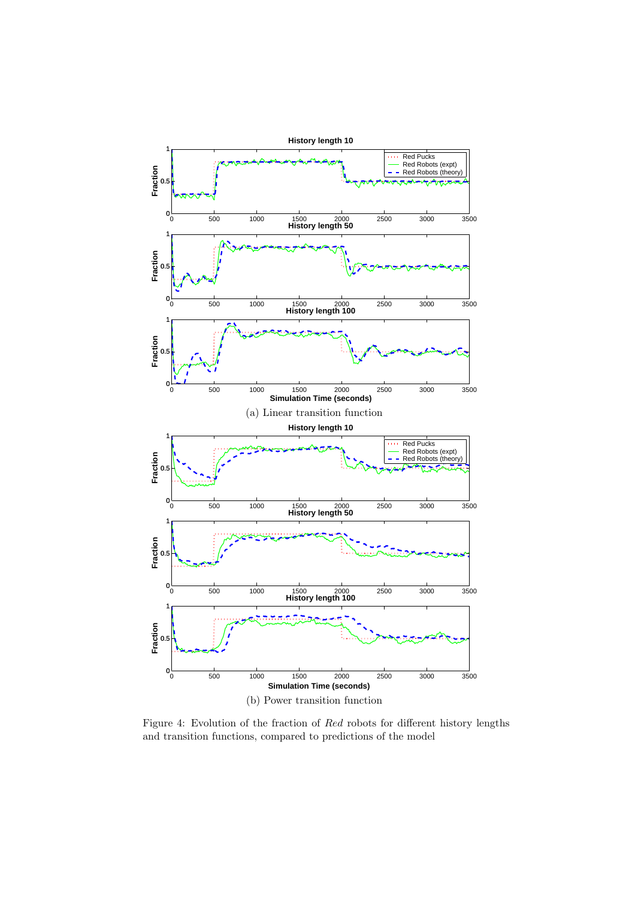

Figure 4: Evolution of the fraction of Red robots for different history lengths and transition functions, compared to predictions of the model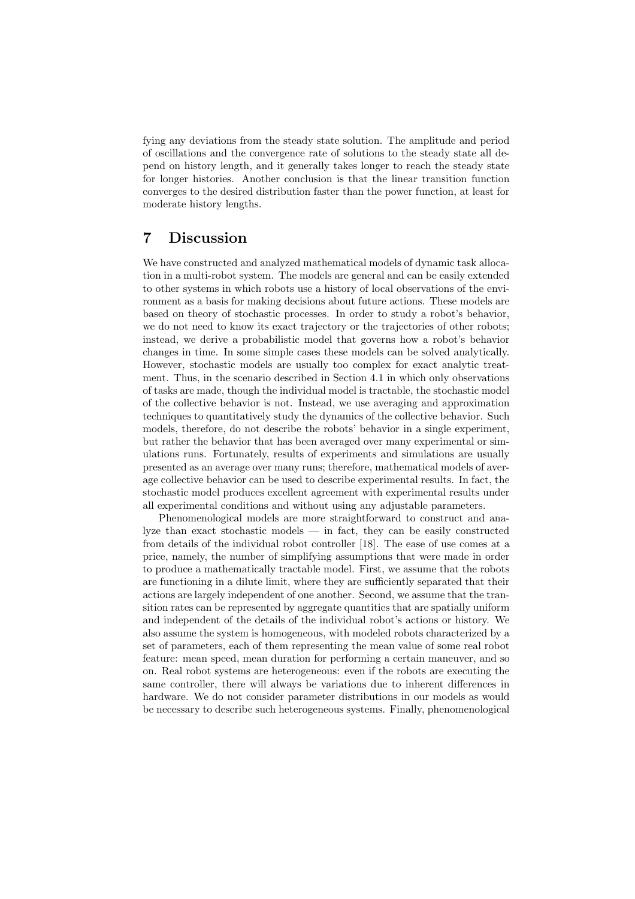fying any deviations from the steady state solution. The amplitude and period of oscillations and the convergence rate of solutions to the steady state all depend on history length, and it generally takes longer to reach the steady state for longer histories. Another conclusion is that the linear transition function converges to the desired distribution faster than the power function, at least for moderate history lengths.

## 7 Discussion

We have constructed and analyzed mathematical models of dynamic task allocation in a multi-robot system. The models are general and can be easily extended to other systems in which robots use a history of local observations of the environment as a basis for making decisions about future actions. These models are based on theory of stochastic processes. In order to study a robot's behavior, we do not need to know its exact trajectory or the trajectories of other robots; instead, we derive a probabilistic model that governs how a robot's behavior changes in time. In some simple cases these models can be solved analytically. However, stochastic models are usually too complex for exact analytic treatment. Thus, in the scenario described in Section 4.1 in which only observations of tasks are made, though the individual model is tractable, the stochastic model of the collective behavior is not. Instead, we use averaging and approximation techniques to quantitatively study the dynamics of the collective behavior. Such models, therefore, do not describe the robots' behavior in a single experiment, but rather the behavior that has been averaged over many experimental or simulations runs. Fortunately, results of experiments and simulations are usually presented as an average over many runs; therefore, mathematical models of average collective behavior can be used to describe experimental results. In fact, the stochastic model produces excellent agreement with experimental results under all experimental conditions and without using any adjustable parameters.

Phenomenological models are more straightforward to construct and analyze than exact stochastic models — in fact, they can be easily constructed from details of the individual robot controller [18]. The ease of use comes at a price, namely, the number of simplifying assumptions that were made in order to produce a mathematically tractable model. First, we assume that the robots are functioning in a dilute limit, where they are sufficiently separated that their actions are largely independent of one another. Second, we assume that the transition rates can be represented by aggregate quantities that are spatially uniform and independent of the details of the individual robot's actions or history. We also assume the system is homogeneous, with modeled robots characterized by a set of parameters, each of them representing the mean value of some real robot feature: mean speed, mean duration for performing a certain maneuver, and so on. Real robot systems are heterogeneous: even if the robots are executing the same controller, there will always be variations due to inherent differences in hardware. We do not consider parameter distributions in our models as would be necessary to describe such heterogeneous systems. Finally, phenomenological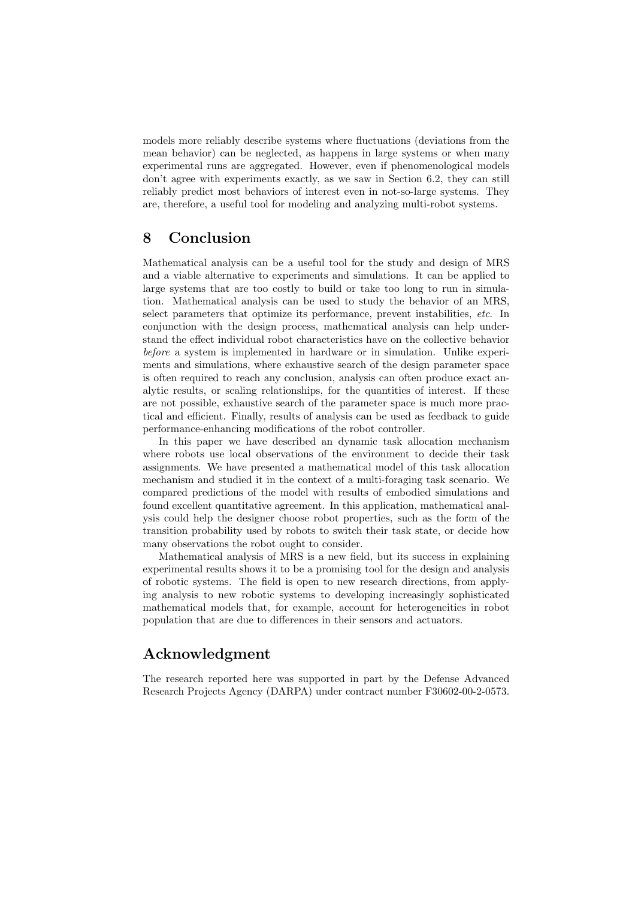models more reliably describe systems where fluctuations (deviations from the mean behavior) can be neglected, as happens in large systems or when many experimental runs are aggregated. However, even if phenomenological models don't agree with experiments exactly, as we saw in Section 6.2, they can still reliably predict most behaviors of interest even in not-so-large systems. They are, therefore, a useful tool for modeling and analyzing multi-robot systems.

## 8 Conclusion

Mathematical analysis can be a useful tool for the study and design of MRS and a viable alternative to experiments and simulations. It can be applied to large systems that are too costly to build or take too long to run in simulation. Mathematical analysis can be used to study the behavior of an MRS, select parameters that optimize its performance, prevent instabilities, etc. In conjunction with the design process, mathematical analysis can help understand the effect individual robot characteristics have on the collective behavior before a system is implemented in hardware or in simulation. Unlike experiments and simulations, where exhaustive search of the design parameter space is often required to reach any conclusion, analysis can often produce exact analytic results, or scaling relationships, for the quantities of interest. If these are not possible, exhaustive search of the parameter space is much more practical and efficient. Finally, results of analysis can be used as feedback to guide performance-enhancing modifications of the robot controller.

In this paper we have described an dynamic task allocation mechanism where robots use local observations of the environment to decide their task assignments. We have presented a mathematical model of this task allocation mechanism and studied it in the context of a multi-foraging task scenario. We compared predictions of the model with results of embodied simulations and found excellent quantitative agreement. In this application, mathematical analysis could help the designer choose robot properties, such as the form of the transition probability used by robots to switch their task state, or decide how many observations the robot ought to consider.

Mathematical analysis of MRS is a new field, but its success in explaining experimental results shows it to be a promising tool for the design and analysis of robotic systems. The field is open to new research directions, from applying analysis to new robotic systems to developing increasingly sophisticated mathematical models that, for example, account for heterogeneities in robot population that are due to differences in their sensors and actuators.

## Acknowledgment

The research reported here was supported in part by the Defense Advanced Research Projects Agency (DARPA) under contract number F30602-00-2-0573.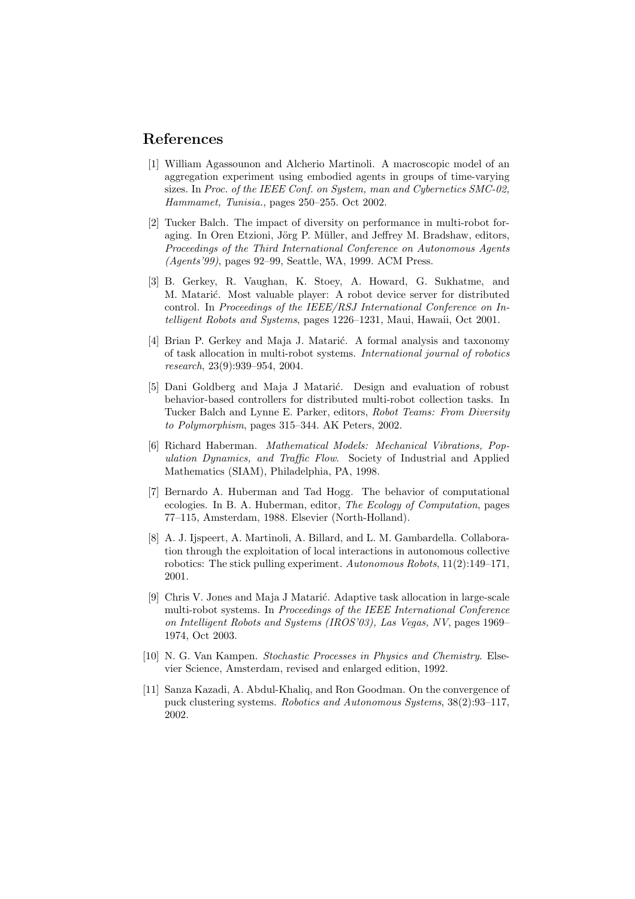## References

- [1] William Agassounon and Alcherio Martinoli. A macroscopic model of an aggregation experiment using embodied agents in groups of time-varying sizes. In Proc. of the IEEE Conf. on System, man and Cybernetics SMC-02, Hammamet, Tunisia., pages 250–255. Oct 2002.
- [2] Tucker Balch. The impact of diversity on performance in multi-robot foraging. In Oren Etzioni, Jörg P. Müller, and Jeffrey M. Bradshaw, editors, Proceedings of the Third International Conference on Autonomous Agents (Agents'99), pages 92–99, Seattle, WA, 1999. ACM Press.
- [3] B. Gerkey, R. Vaughan, K. Stoey, A. Howard, G. Sukhatme, and M. Matarić. Most valuable player: A robot device server for distributed control. In Proceedings of the IEEE/RSJ International Conference on Intelligent Robots and Systems, pages 1226–1231, Maui, Hawaii, Oct 2001.
- [4] Brian P. Gerkey and Maja J. Matarić. A formal analysis and taxonomy of task allocation in multi-robot systems. International journal of robotics research, 23(9):939–954, 2004.
- [5] Dani Goldberg and Maja J Matarić. Design and evaluation of robust behavior-based controllers for distributed multi-robot collection tasks. In Tucker Balch and Lynne E. Parker, editors, Robot Teams: From Diversity to Polymorphism, pages 315–344. AK Peters, 2002.
- [6] Richard Haberman. Mathematical Models: Mechanical Vibrations, Population Dynamics, and Traffic Flow. Society of Industrial and Applied Mathematics (SIAM), Philadelphia, PA, 1998.
- [7] Bernardo A. Huberman and Tad Hogg. The behavior of computational ecologies. In B. A. Huberman, editor, The Ecology of Computation, pages 77–115, Amsterdam, 1988. Elsevier (North-Holland).
- [8] A. J. Ijspeert, A. Martinoli, A. Billard, and L. M. Gambardella. Collaboration through the exploitation of local interactions in autonomous collective robotics: The stick pulling experiment. Autonomous Robots, 11(2):149–171, 2001.
- [9] Chris V. Jones and Maja J Matarić. Adaptive task allocation in large-scale multi-robot systems. In Proceedings of the IEEE International Conference on Intelligent Robots and Systems (IROS'03), Las Vegas, NV, pages 1969– 1974, Oct 2003.
- [10] N. G. Van Kampen. Stochastic Processes in Physics and Chemistry. Elsevier Science, Amsterdam, revised and enlarged edition, 1992.
- [11] Sanza Kazadi, A. Abdul-Khaliq, and Ron Goodman. On the convergence of puck clustering systems. Robotics and Autonomous Systems, 38(2):93–117, 2002.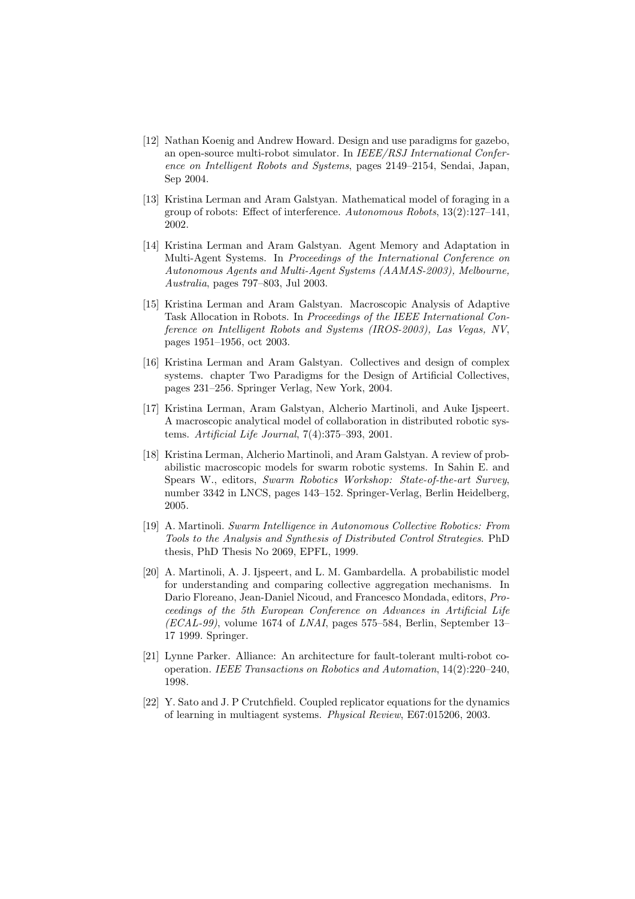- [12] Nathan Koenig and Andrew Howard. Design and use paradigms for gazebo, an open-source multi-robot simulator. In IEEE/RSJ International Conference on Intelligent Robots and Systems, pages 2149–2154, Sendai, Japan, Sep 2004.
- [13] Kristina Lerman and Aram Galstyan. Mathematical model of foraging in a group of robots: Effect of interference. Autonomous Robots, 13(2):127–141, 2002.
- [14] Kristina Lerman and Aram Galstyan. Agent Memory and Adaptation in Multi-Agent Systems. In Proceedings of the International Conference on Autonomous Agents and Multi-Agent Systems (AAMAS-2003), Melbourne, Australia, pages 797–803, Jul 2003.
- [15] Kristina Lerman and Aram Galstyan. Macroscopic Analysis of Adaptive Task Allocation in Robots. In Proceedings of the IEEE International Conference on Intelligent Robots and Systems (IROS-2003), Las Vegas, NV, pages 1951–1956, oct 2003.
- [16] Kristina Lerman and Aram Galstyan. Collectives and design of complex systems. chapter Two Paradigms for the Design of Artificial Collectives, pages 231–256. Springer Verlag, New York, 2004.
- [17] Kristina Lerman, Aram Galstyan, Alcherio Martinoli, and Auke Ijspeert. A macroscopic analytical model of collaboration in distributed robotic systems. Artificial Life Journal, 7(4):375–393, 2001.
- [18] Kristina Lerman, Alcherio Martinoli, and Aram Galstyan. A review of probabilistic macroscopic models for swarm robotic systems. In Sahin E. and Spears W., editors, Swarm Robotics Workshop: State-of-the-art Survey, number 3342 in LNCS, pages 143–152. Springer-Verlag, Berlin Heidelberg, 2005.
- [19] A. Martinoli. Swarm Intelligence in Autonomous Collective Robotics: From Tools to the Analysis and Synthesis of Distributed Control Strategies. PhD thesis, PhD Thesis No 2069, EPFL, 1999.
- [20] A. Martinoli, A. J. Ijspeert, and L. M. Gambardella. A probabilistic model for understanding and comparing collective aggregation mechanisms. In Dario Floreano, Jean-Daniel Nicoud, and Francesco Mondada, editors, Proceedings of the 5th European Conference on Advances in Artificial Life (ECAL-99), volume 1674 of LNAI, pages 575–584, Berlin, September 13– 17 1999. Springer.
- [21] Lynne Parker. Alliance: An architecture for fault-tolerant multi-robot cooperation. IEEE Transactions on Robotics and Automation, 14(2):220–240, 1998.
- [22] Y. Sato and J. P Crutchfield. Coupled replicator equations for the dynamics of learning in multiagent systems. Physical Review, E67:015206, 2003.